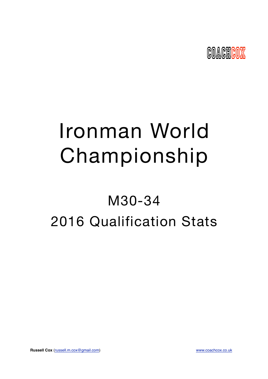

# Ironman World Championship

## M30-34 2016 Qualification Stats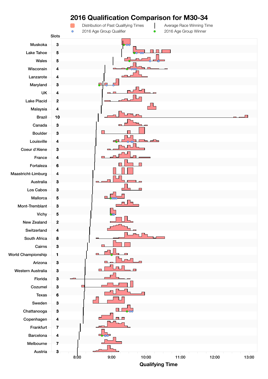

## **Qualifying Time**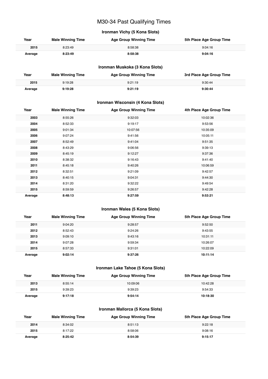## M30-34 Past Qualifying Times

## **Ironman Vichy (5 Kona Slots)**

| Year    | <b>Male Winning Time</b> | <b>Age Group Winning Time</b> | 5th Place Age Group Time |
|---------|--------------------------|-------------------------------|--------------------------|
| 2015    | 8:23:49                  | 8:58:38                       | 9:04:16                  |
| Average | 8:23:49                  | 8:58:38                       | 9:04:16                  |

#### **Ironman Muskoka (3 Kona Slots)**

| Year    | <b>Male Winning Time</b> | <b>Age Group Winning Time</b> | 3rd Place Age Group Time |
|---------|--------------------------|-------------------------------|--------------------------|
| 2015    | 9:19:28                  | 9:21:19                       | 9:30:44                  |
| Average | 9:19:28                  | 9:21:19                       | 9:30:44                  |

#### **Ironman Wisconsin (4 Kona Slots)**

| Year    | <b>Male Winning Time</b> | <b>Age Group Winning Time</b> | 4th Place Age Group Time |
|---------|--------------------------|-------------------------------|--------------------------|
| 2003    | 8:55:26                  | 9:32:03                       | 10:02:36                 |
| 2004    | 8:52:33                  | 9:19:17                       | 9:53:56                  |
| 2005    | 9:01:34                  | 10:07:56                      | 10:35:09                 |
| 2006    | 9:07:24                  | 9:41:56                       | 10:05:11                 |
| 2007    | 8:52:49                  | 9:41:04                       | 9:51:35                  |
| 2008    | 8:43:29                  | 9:06:56                       | 9:39:13                  |
| 2009    | 8:45:19                  | 9:12:27                       | 9:37:36                  |
| 2010    | 8:38:32                  | 9:16:43                       | 9:41:40                  |
| 2011    | 8:45:18                  | 9:40:26                       | 10:06:59                 |
| 2012    | 8:32:51                  | 9:21:09                       | 9:42:57                  |
| 2013    | 8:40:15                  | 9:04:31                       | 9:44:30                  |
| 2014    | 8:31:20                  | 9:32:22                       | 9:49:54                  |
| 2015    | 8:59:59                  | 9:26:57                       | 9:42:28                  |
| Average | 8:48:13                  | 9:27:59                       | 9:53:21                  |

## **Ironman Wales (5 Kona Slots)**

| Year    | <b>Male Winning Time</b> | <b>Age Group Winning Time</b> | 5th Place Age Group Time |
|---------|--------------------------|-------------------------------|--------------------------|
| 2011    | 9:04:20                  | 9:28:57                       | 9:52:50                  |
| 2012    | 8:52:43                  | 9:24:26                       | 9:43:55                  |
| 2013    | 9:09:10                  | 9:43:16                       | 10:31:11                 |
| 2014    | 9:07:28                  | 9:59:34                       | 10:26:07                 |
| 2015    | 8:57:33                  | 9:31:01                       | 10:22:09                 |
| Average | 9:02:14                  | 9:37:26                       | 10:11:14                 |

#### **Ironman Lake Tahoe (5 Kona Slots)**

| Year    | <b>Male Winning Time</b> | <b>Age Group Winning Time</b> | 5th Place Age Group Time |
|---------|--------------------------|-------------------------------|--------------------------|
| 2013    | 8:55:14                  | 10:09:06                      | 10:42:28                 |
| 2015    | 9:39:23                  | 9:39:23                       | 9:54:33                  |
| Average | 9:17:18                  | 9:54:14                       | 10:18:30                 |

#### **Ironman Mallorca (5 Kona Slots)**

| Year    | <b>Male Winning Time</b> | <b>Age Group Winning Time</b> | 5th Place Age Group Time |
|---------|--------------------------|-------------------------------|--------------------------|
| 2014    | 8:34:02                  | 8:51:13                       | 9:22:18                  |
| 2015    | 8:17:22                  | 8:58:06                       | 9:08:16                  |
| Average | 8:25:42                  | 8:54:39                       | 9:15:17                  |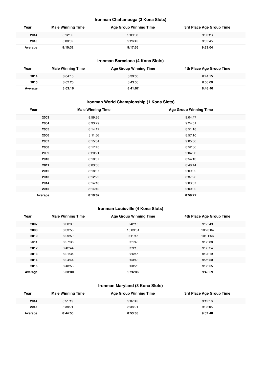#### **Ironman Chattanooga (3 Kona Slots)**

| Year    | <b>Male Winning Time</b> | <b>Age Group Winning Time</b> | 3rd Place Age Group Time |
|---------|--------------------------|-------------------------------|--------------------------|
| 2014    | 8:12:32                  | 9:09:08                       | 9:30:23                  |
| 2015    | 8:08:32                  | 9:26:45                       | 9:35:45                  |
| Average | 8:10:32                  | 9:17:56                       | 9:33:04                  |

## **Ironman Barcelona (4 Kona Slots)**

| Year    | <b>Male Winning Time</b> | <b>Age Group Winning Time</b> | 4th Place Age Group Time |
|---------|--------------------------|-------------------------------|--------------------------|
| 2014    | 8:04:13                  | 8:39:06                       | 8:44:15                  |
| 2015    | 8:02:20                  | 8:43:08                       | 8:53:06                  |
| Average | 8:03:16                  | 8:41:07                       | 8:48:40                  |

## **Ironman World Championship (1 Kona Slots)**

| Year    | <b>Male Winning Time</b> | <b>Age Group Winning Time</b> |
|---------|--------------------------|-------------------------------|
| 2003    | 8:59:36                  | 9:04:47                       |
| 2004    | 8:33:29                  | 9:24:51                       |
| 2005    | 8:14:17                  | 8:51:18                       |
| 2006    | 8:11:56                  | 8:57:10                       |
| 2007    | 8:15:34                  | 9:05:06                       |
| 2008    | 8:17:45                  | 8:52:36                       |
| 2009    | 8:20:21                  | 9:04:03                       |
| 2010    | 8:10:37                  | 8:54:13                       |
| 2011    | 8:03:56                  | 8:48:44                       |
| 2012    | 8:18:37                  | 9:09:02                       |
| 2013    | 8:12:29                  | 8:37:26                       |
| 2014    | 8:14:18                  | 9:03:37                       |
| 2015    | 8:14:40                  | 9:00:02                       |
| Average | 8:19:02                  | 8:59:27                       |

## **Ironman Louisville (4 Kona Slots)**

| Year    | <b>Male Winning Time</b> | <b>Age Group Winning Time</b> | 4th Place Age Group Time |
|---------|--------------------------|-------------------------------|--------------------------|
| 2007    | 8:38:39                  | 9:42:15                       | 9:55:49                  |
| 2008    | 8:33:58                  | 10:09:31                      | 10:20:04                 |
| 2010    | 8:29:59                  | 9:11:15                       | 10:01:56                 |
| 2011    | 8:27:36                  | 9:21:43                       | 9:38:38                  |
| 2012    | 8:42:44                  | 9:29:19                       | 9:33:24                  |
| 2013    | 8:21:34                  | 9:26:46                       | 9:34:19                  |
| 2014    | 8:24:44                  | 9:03:43                       | 9:26:50                  |
| 2015    | 8:48:53                  | 9:08:23                       | 9:36:55                  |
| Average | 8:33:30                  | 9:26:36                       | 9:45:59                  |

## **Ironman Maryland (3 Kona Slots)**

| Year    | <b>Male Winning Time</b> | <b>Age Group Winning Time</b> | 3rd Place Age Group Time |
|---------|--------------------------|-------------------------------|--------------------------|
| 2014    | 8:51:19                  | 9:07:45                       | 9:12:16                  |
| 2015    | 8:38:21                  | 8:38:21                       | 9:03:05                  |
| Average | 8:44:50                  | 8:53:03                       | 9:07:40                  |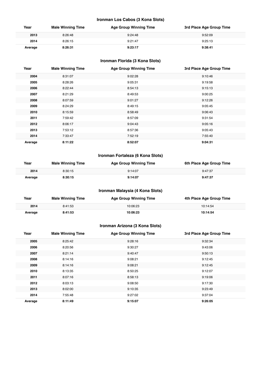#### **Ironman Los Cabos (3 Kona Slots)**

| Year    | <b>Male Winning Time</b> | <b>Age Group Winning Time</b> | 3rd Place Age Group Time |
|---------|--------------------------|-------------------------------|--------------------------|
| 2013    | 8:26:48                  | 9:24:48                       | 9:52:09                  |
| 2014    | 8:26:15                  | 9:21:47                       | 9:25:13                  |
| Average | 8:26:31                  | 9:23:17                       | 9:38:41                  |

## **Ironman Florida (3 Kona Slots)**

| Year    | <b>Male Winning Time</b> | <b>Age Group Winning Time</b> | 3rd Place Age Group Time |
|---------|--------------------------|-------------------------------|--------------------------|
| 2004    | 8:31:07                  | 9:02:28                       | 9:10:46                  |
| 2005    | 8:28:26                  | 9:05:31                       | 9:19:58                  |
| 2006    | 8:22:44                  | 8:54:13                       | 9:15:13                  |
| 2007    | 8:21:29                  | 8:49:53                       | 9:00:25                  |
| 2008    | 8:07:59                  | 9:01:27                       | 9:12:26                  |
| 2009    | 8:24:29                  | 8:49:15                       | 9:05:45                  |
| 2010    | 8:15:59                  | 8:58:49                       | 9:06:43                  |
| 2011    | 7:59:42                  | 8:57:09                       | 9:31:54                  |
| 2012    | 8:06:17                  | 9:04:43                       | 9:05:16                  |
| 2013    | 7:53:12                  | 8:57:36                       | 9:05:43                  |
| 2014    | 7:33:47                  | 7:52:19                       | 7:55:40                  |
| Average | 8:11:22                  | 8:52:07                       | 9:04:31                  |

## **Ironman Fortaleza (6 Kona Slots)**

| Year    | <b>Male Winning Time</b> | <b>Age Group Winning Time</b> | 6th Place Age Group Time |
|---------|--------------------------|-------------------------------|--------------------------|
| 2014    | 8:30:15                  | 9:14:07                       | 9:47:37                  |
| Average | 8:30:15                  | 9:14:07                       | 9:47:37                  |

#### **Ironman Malaysia (4 Kona Slots)**

| Year    | <b>Male Winning Time</b> | <b>Age Group Winning Time</b> | 4th Place Age Group Time |
|---------|--------------------------|-------------------------------|--------------------------|
| 2014    | 8:41:53                  | 10:06:23                      | 10:14:54                 |
| Average | 8:41:53                  | 10:06:23                      | 10:14:54                 |

#### **Ironman Arizona (3 Kona Slots)**

| Year    | <b>Male Winning Time</b> | <b>Age Group Winning Time</b> | 3rd Place Age Group Time |
|---------|--------------------------|-------------------------------|--------------------------|
| 2005    | 8:25:42                  | 9:28:16                       | 9:32:34                  |
| 2006    | 8:20:56                  | 9:30:27                       | 9:43:06                  |
| 2007    | 8:21:14                  | 9:40:47                       | 9:50:13                  |
| 2008    | 8:14:16                  | 9:08:21                       | 9:12:45                  |
| 2009    | 8:14:16                  | 9:08:21                       | 9:12:45                  |
| 2010    | 8:13:35                  | 8:50:25                       | 9:12:07                  |
| 2011    | 8:07:16                  | 8:58:13                       | 9:19:06                  |
| 2012    | 8:03:13                  | 9:08:50                       | 9:17:30                  |
| 2013    | 8:02:00                  | 9:10:35                       | 9:23:49                  |
| 2014    | 7:55:48                  | 9:27:02                       | 9:37:04                  |
| Average | 8:11:49                  | 9:15:07                       | 9:26:05                  |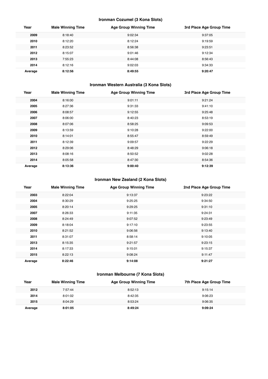#### **Ironman Cozumel (3 Kona Slots)**

| Year    | <b>Male Winning Time</b> | <b>Age Group Winning Time</b> | 3rd Place Age Group Time |
|---------|--------------------------|-------------------------------|--------------------------|
| 2009    | 8:18:40                  | 9:02:34                       | 9:37:05                  |
| 2010    | 8:12:20                  | 8:12:24                       | 9:19:59                  |
| 2011    | 8:23:52                  | 8:56:38                       | 9:23:51                  |
| 2012    | 8:15:07                  | 9:01:46                       | 9:12:34                  |
| 2013    | 7:55:23                  | 8:44:08                       | 8:56:43                  |
| 2014    | 8:12:16                  | 9:02:03                       | 9:34:33                  |
| Average | 8:12:56                  | 8:49:55                       | 9:20:47                  |

## **Ironman Western Australia (3 Kona Slots)**

| 2004<br>8:16:00<br>9:21:24<br>9:01:11<br>2005<br>8:27:36<br>9:31:33<br>9:41:10<br>2006<br>8:08:57<br>9:12:55<br>9:25:48<br>2007<br>8:06:00<br>8:53:19<br>8:40:23<br>2008<br>8:07:06<br>8:58:25<br>9:09:53<br>2009<br>9:22:00<br>8:13:59<br>9:10:28<br>2010<br>8:14:01<br>8:59:49<br>8:55:47<br>2011<br>8:12:39<br>9:22:29<br>9:09:57<br>2012<br>9:06:18<br>8:29:06<br>8:48:29<br>2013<br>8:08:16<br>8:50:52<br>9:02:28<br>2014<br>8:05:58<br>8:47:30<br>8:54:36<br>8:13:36<br>9:00:40<br>9:12:39<br>Average | Year | <b>Male Winning Time</b> | <b>Age Group Winning Time</b> | 3rd Place Age Group Time |
|-------------------------------------------------------------------------------------------------------------------------------------------------------------------------------------------------------------------------------------------------------------------------------------------------------------------------------------------------------------------------------------------------------------------------------------------------------------------------------------------------------------|------|--------------------------|-------------------------------|--------------------------|
|                                                                                                                                                                                                                                                                                                                                                                                                                                                                                                             |      |                          |                               |                          |
|                                                                                                                                                                                                                                                                                                                                                                                                                                                                                                             |      |                          |                               |                          |
|                                                                                                                                                                                                                                                                                                                                                                                                                                                                                                             |      |                          |                               |                          |
|                                                                                                                                                                                                                                                                                                                                                                                                                                                                                                             |      |                          |                               |                          |
|                                                                                                                                                                                                                                                                                                                                                                                                                                                                                                             |      |                          |                               |                          |
|                                                                                                                                                                                                                                                                                                                                                                                                                                                                                                             |      |                          |                               |                          |
|                                                                                                                                                                                                                                                                                                                                                                                                                                                                                                             |      |                          |                               |                          |
|                                                                                                                                                                                                                                                                                                                                                                                                                                                                                                             |      |                          |                               |                          |
|                                                                                                                                                                                                                                                                                                                                                                                                                                                                                                             |      |                          |                               |                          |
|                                                                                                                                                                                                                                                                                                                                                                                                                                                                                                             |      |                          |                               |                          |
|                                                                                                                                                                                                                                                                                                                                                                                                                                                                                                             |      |                          |                               |                          |
|                                                                                                                                                                                                                                                                                                                                                                                                                                                                                                             |      |                          |                               |                          |

#### **Ironman New Zealand (2 Kona Slots)**

| Year    | <b>Male Winning Time</b> | <b>Age Group Winning Time</b> | 2nd Place Age Group Time |
|---------|--------------------------|-------------------------------|--------------------------|
| 2003    | 8:22:04                  | 9:13:37                       | 9:23:22                  |
| 2004    | 8:30:29                  | 9:25:25                       | 9:34:50                  |
| 2005    | 8:20:14                  | 9:29:25                       | 9:31:10                  |
| 2007    | 8:26:33                  | 9:11:35                       | 9:24:31                  |
| 2008    | 8:24:49                  | 9:07:52                       | 9:23:49                  |
| 2009    | 8:18:04                  | 9:17:10                       | 9:23:55                  |
| 2010    | 8:21:52                  | 9:06:56                       | 9:13:40                  |
| 2011    | 8:31:07                  | 8:58:14                       | 9:10:05                  |
| 2013    | 8:15:35                  | 9:21:57                       | 9:23:15                  |
| 2014    | 8:17:33                  | 9:15:01                       | 9:15:37                  |
| 2015    | 8:22:13                  | 9:08:24                       | 9:11:47                  |
| Average | 8:22:46                  | 9:14:08                       | 9:21:27                  |

## **Ironman Melbourne (7 Kona Slots)**

| Year    | <b>Male Winning Time</b> | <b>Age Group Winning Time</b> | 7th Place Age Group Time |
|---------|--------------------------|-------------------------------|--------------------------|
| 2012    | 7:57:44                  | 8:52:13                       | 9:15:14                  |
| 2014    | 8:01:02                  | 8:42:35                       | 9:06:23                  |
| 2015    | 8:04:29                  | 8:53:24                       | 9:06:35                  |
| Average | 8:01:05                  | 8:49:24                       | 9:09:24                  |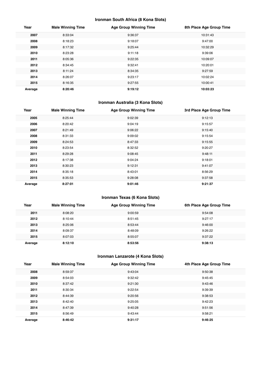## **Ironman South Africa (8 Kona Slots)**

| Year    | <b>Male Winning Time</b> | <b>Age Group Winning Time</b> | 8th Place Age Group Time |
|---------|--------------------------|-------------------------------|--------------------------|
| 2007    | 8:33:04                  | 9:36:37                       | 10:31:43                 |
| 2008    | 8:18:23                  | 9:18:07                       | 9:47:00                  |
| 2009    | 8:17:32                  | 9:25:44                       | 10:32:29                 |
| 2010    | 8:23:28                  | 9:11:18                       | 9:39:06                  |
| 2011    | 8:05:36                  | 9:22:35                       | 10:09:07                 |
| 2012    | 8:34:45                  | 9:32:41                       | 10:20:01                 |
| 2013    | 8:11:24                  | 8:34:35                       | 9:27:59                  |
| 2014    | 8:26:07                  | 9:23:17                       | 10:02:24                 |
| 2015    | 8:16:35                  | 9:27:55                       | 10:00:41                 |
| Average | 8:20:46                  | 9:19:12                       | 10:03:23                 |

## **Ironman Australia (3 Kona Slots)**

| Year    | <b>Male Winning Time</b> | <b>Age Group Winning Time</b> | 3rd Place Age Group Time |
|---------|--------------------------|-------------------------------|--------------------------|
| 2005    | 8:25:44                  | 9:02:39                       | 9:12:13                  |
| 2006    | 8:20:42                  | 9:04:19                       | 9:15:57                  |
| 2007    | 8:21:49                  | 9:06:22                       | 9:15:40                  |
| 2008    | 8:31:33                  | 9:09:02                       | 9:15:54                  |
| 2009    | 8:24:53                  | 8:47:33                       | 9:15:55                  |
| 2010    | 8:23:54                  | 8:32:52                       | 9:20:27                  |
| 2011    | 8:29:28                  | 9:08:45                       | 9:48:11                  |
| 2012    | 8:17:38                  | 9:04:24                       | 9:18:01                  |
| 2013    | 8:30:23                  | 9:12:31                       | 9:41:07                  |
| 2014    | 8:35:18                  | 8:43:01                       | 8:56:29                  |
| 2015    | 8:35:53                  | 9:28:08                       | 9:37:58                  |
| Average | 8:27:01                  | 9:01:46                       | 9:21:37                  |

## **Ironman Texas (6 Kona Slots)**

| Year    | <b>Male Winning Time</b> | <b>Age Group Winning Time</b> | 6th Place Age Group Time |
|---------|--------------------------|-------------------------------|--------------------------|
| 2011    | 8:08:20                  | 9:00:59                       | 9:54:08                  |
| 2012    | 8:10:44                  | 8:51:45                       | 9:27:17                  |
| 2013    | 8:25:06                  | 8:53:44                       | 9:46:00                  |
| 2014    | 8:09:37                  | 8:48:09                       | 9:26:22                  |
| 2015    | 8:07:03                  | 8:55:07                       | 9:37:22                  |
| Average | 8:12:10                  | 8:53:56                       | 9:38:13                  |

## **Ironman Lanzarote (4 Kona Slots)**

| Year    | <b>Male Winning Time</b> | <b>Age Group Winning Time</b> | 4th Place Age Group Time |
|---------|--------------------------|-------------------------------|--------------------------|
| 2008    | 8:59:37                  | 9:43:04                       | 9:50:38                  |
| 2009    | 8:54:03                  | 9:32:42                       | 9:45:45                  |
| 2010    | 8:37:42                  | 9:21:30                       | 9:43:46                  |
| 2011    | 8:30:34                  | 9:22:54                       | 9:39:39                  |
| 2012    | 8:44:39                  | 9:20:56                       | 9:38:53                  |
| 2013    | 8:42:40                  | 9:25:05                       | 9:42:23                  |
| 2014    | 8:47:39                  | 9:40:28                       | 9:51:56                  |
| 2015    | 8:56:49                  | 9:43:44                       | 9:58:21                  |
| Average | 8:46:42                  | 9:31:17                       | 9:46:25                  |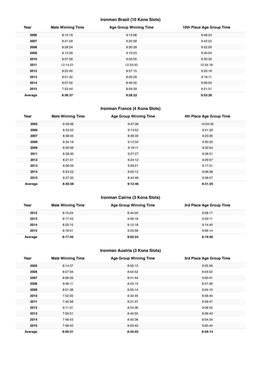## **Ironman Brazil (10 Kona Slots)**

| Year    | <b>Male Winning Time</b> | <b>Age Group Winning Time</b> | 10th Place Age Group Time |
|---------|--------------------------|-------------------------------|---------------------------|
| 2006    | 8:15:18                  | 9:13:08                       | 9:48:23                   |
| 2007    | 8:21:09                  | 9:20:58                       | 9:42:52                   |
| 2008    | 8:28:24                  | 9:30:39                       | 9:52:09                   |
| 2009    | 8:13:39                  | 9:19:23                       | 9:46:04                   |
| 2010    | 8:07:39                  | 9:03:55                       | 9:33:35                   |
| 2011    | 12:14:21                 | 12:33:43                      | 12:54:18                  |
| 2012    | 8:22:40                  | 8:57:15                       | 9:33:18                   |
| 2013    | 8:01:32                  | 8:55:29                       | 9:16:11                   |
| 2014    | 8:07:52                  | 8:49:32                       | 9:06:04                   |
| 2015    | 7:53:44                  | 8:59:39                       | 9:21:31                   |
| Average | 8:36:37                  | 9:28:22                       | 9:53:26                   |

## **Ironman France (4 Kona Slots)**

| Year    | <b>Male Winning Time</b> | <b>Age Group Winning Time</b> | 4th Place Age Group Time |
|---------|--------------------------|-------------------------------|--------------------------|
| 2005    | 8:49:06                  | 9:47:36                       | 10:04:32                 |
| 2006    | 8:33:55                  | 9:13:52                       | 9:41:39                  |
| 2007    | 8:38:45                  | 8:46:30                       | 9:23:26                  |
| 2008    | 8:34:18                  | 9:12:34                       | 9:30:20                  |
| 2009    | 8:30:06                  | 9:19:11                       | 9:32:04                  |
| 2011    | 8:28:30                  | 9:27:27                       | 9:28:51                  |
| 2012    | 8:21:51                  | 9:24:12                       | 9:29:57                  |
| 2013    | 8:08:59                  | 9:09:21                       | 9:17:51                  |
| 2014    | 8:33:22                  | 9:02:12                       | 9:06:38                  |
| 2015    | 8:27:32                  | 8:44:48                       | 9:38:57                  |
| Average | 8:30:38                  | 9:12:46                       | 9:31:25                  |

## **Ironman Cairns (3 Kona Slots)**

| Year    | <b>Male Winning Time</b> | <b>Age Group Winning Time</b> | 3rd Place Age Group Time |
|---------|--------------------------|-------------------------------|--------------------------|
| 2012    | 8:15:04                  | 8:44:03                       | 9:28:17                  |
| 2013    | 8:17:43                  | 9:09:18                       | 9:30:11                  |
| 2014    | 8:20:15                  | 9:12:18                       | 9:14:40                  |
| 2015    | 8:18:01                  | 9:03:58                       | 9:06:14                  |
| Average | 8:17:45                  | 9:02:24                       | 9:19:50                  |

## **Ironman Austria (3 Kona Slots)**

| Year    | <b>Male Winning Time</b> | <b>Age Group Winning Time</b> | 3rd Place Age Group Time |
|---------|--------------------------|-------------------------------|--------------------------|
| 2005    | 8:14:37                  | 8:50:15                       | 9:05:56                  |
| 2006    | 8:07:59                  | 8:54:52                       | 9:04:02                  |
| 2007    | 8:06:39                  | 8:41:44                       | 9:00:41                  |
| 2008    | 8:06:11                  | 8:43:15                       | 8:57:28                  |
| 2009    | 8:01:38                  | 8:50:14                       | 9:04:10                  |
| 2010    | 7:52:05                  | 8:33:45                       | 8:58:40                  |
| 2011    | 7:45:58                  | 8:31:37                       | 8:39:47                  |
| 2012    | 8:11:31                  | 8:54:36                       | 9:08:55                  |
| 2013    | 7:59:51                  | 8:40:55                       | 8:56:43                  |
| 2014    | 7:48:43                  | 8:40:36                       | 8:54:34                  |
| 2015    | 7:48:45                  | 8:53:42                       | 9:00:44                  |
| Average | 8:00:21                  | 8:45:02                       | 8:59:14                  |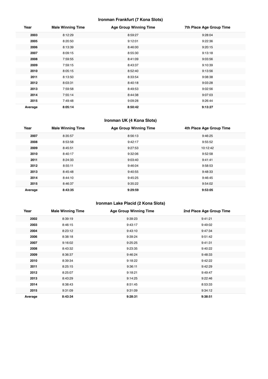## **Ironman Frankfurt (7 Kona Slots)**

| Year    | <b>Male Winning Time</b> | <b>Age Group Winning Time</b> | 7th Place Age Group Time |
|---------|--------------------------|-------------------------------|--------------------------|
| 2003    | 8:12:29                  | 8:59:27                       | 9:28:04                  |
| 2005    | 8:20:50                  | 9:12:01                       | 9:22:36                  |
| 2006    | 8:13:39                  | 8:46:00                       | 9:20:15                  |
| 2007    | 8:09:15                  | 8:55:30                       | 9:13:18                  |
| 2008    | 7:59:55                  | 8:41:09                       | 9:03:56                  |
| 2009    | 7:59:15                  | 8:43:37                       | 9:10:39                  |
| 2010    | 8:05:15                  | 8:52:40                       | 9:13:56                  |
| 2011    | 8:13:50                  | 8:33:54                       | 9:08:38                  |
| 2012    | 8:03:31                  | 8:40:18                       | 9:03:28                  |
| 2013    | 7:59:58                  | 8:49:53                       | 9:02:56                  |
| 2014    | 7:55:14                  | 8:44:38                       | 9:07:03                  |
| 2015    | 7:49:48                  | 9:09:28                       | 9:26:44                  |
| Average | 8:05:14                  | 8:50:42                       | 9:13:27                  |

#### **Ironman UK (4 Kona Slots)**

| Year    | <b>Male Winning Time</b> | <b>Age Group Winning Time</b> | 4th Place Age Group Time |
|---------|--------------------------|-------------------------------|--------------------------|
| 2007    | 8:35:57                  | 8:56:13                       | 9:46:25                  |
| 2008    | 8:53:58                  | 9:42:17                       | 9:55:52                  |
| 2009    | 8:45:51                  | 9:27:53                       | 10:12:42                 |
| 2010    | 8:40:17                  | 9:32:06                       | 9:52:58                  |
| 2011    | 8:24:33                  | 9:03:40                       | 9:41:41                  |
| 2012    | 8:55:11                  | 9:46:04                       | 9:58:53                  |
| 2013    | 8:45:48                  | 9:40:55                       | 9:48:33                  |
| 2014    | 8:44:10                  | 9:45:25                       | 9:46:45                  |
| 2015    | 8:46:37                  | 9:35:22                       | 9:54:02                  |
| Average | 8:43:35                  | 9:29:59                       | 9:53:05                  |

## **Ironman Lake Placid (2 Kona Slots)**

| Year    | <b>Male Winning Time</b> | <b>Age Group Winning Time</b> | 2nd Place Age Group Time |
|---------|--------------------------|-------------------------------|--------------------------|
| 2002    | 8:39:19                  | 9:39:23                       | 9:41:21                  |
| 2003    | 8:46:15                  | 9:43:17                       | 9:49:02                  |
| 2004    | 8:23:12                  | 9:43:10                       | 9:47:34                  |
| 2006    | 8:38:18                  | 9:39:24                       | 9:51:42                  |
| 2007    | 9:16:02                  | 9:25:25                       | 9:41:31                  |
| 2008    | 8:43:32                  | 9:23:35                       | 9:40:22                  |
| 2009    | 8:36:37                  | 9:46:24                       | 9:48:33                  |
| 2010    | 8:39:34                  | 9:18:22                       | 9:42:22                  |
| 2011    | 8:25:15                  | 9:36:11                       | 9:42:29                  |
| 2012    | 8:25:07                  | 9:18:21                       | 9:49:47                  |
| 2013    | 8:43:29                  | 9:14:25                       | 9:22:46                  |
| 2014    | 8:38:43                  | 8:51:45                       | 8:53:33                  |
| 2015    | 9:31:09                  | 9:31:09                       | 9:34:12                  |
| Average | 8:43:34                  | 9:28:31                       | 9:38:51                  |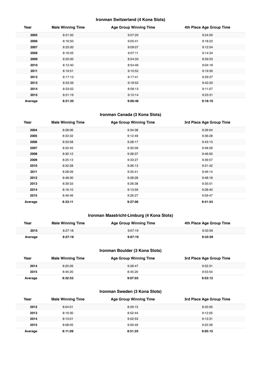#### **Ironman Switzerland (4 Kona Slots)**

| Year    | <b>Male Winning Time</b> | <b>Age Group Winning Time</b> | 4th Place Age Group Time |
|---------|--------------------------|-------------------------------|--------------------------|
| 2005    | 8:21:50                  | 9:07:20                       | 9:24:00                  |
| 2006    | 8:16:50                  | 9:05:41                       | 9:18:22                  |
| 2007    | 8:25:00                  | 9:09:07                       | 9:12:54                  |
| 2008    | 8:16:05                  | 9:07:11                       | 9:14:34                  |
| 2009    | 8:20:00                  | 8:54:33                       | 8:59:53                  |
| 2010    | 8:12:40                  | 8:54:46                       | 9:04:18                  |
| 2011    | 8:19:51                  | 9:10:52                       | 9:19:30                  |
| 2012    | 8:17:13                  | 9:17:41                       | 9:29:27                  |
| 2013    | 8:33:39                  | 9:18:52                       | 9:42:20                  |
| 2014    | 8:33:02                  | 8:58:13                       | 9:11:07                  |
| 2015    | 8:21:19                  | 9:10:14                       | 9:23:31                  |
| Average | 8:21:35                  | 9:06:46                       | 9:18:10                  |

#### **Ironman Canada (3 Kona Slots)**

| Year    | <b>Male Winning Time</b> | <b>Age Group Winning Time</b> | 3rd Place Age Group Time |
|---------|--------------------------|-------------------------------|--------------------------|
| 2004    | 8:28:06                  | 9:34:38                       | 9:39:04                  |
| 2005    | 8:33:32                  | 9:12:49                       | 9:36:28                  |
| 2006    | 8:33:58                  | 9:28:17                       | 9:43:13                  |
| 2007    | 8:32:45                  | 9:30:09                       | 9:48:29                  |
| 2008    | 8:30:12                  | 9:28:37                       | 9:46:00                  |
| 2009    | 8:25:13                  | 9:33:27                       | 9:39:57                  |
| 2010    | 8:32:28                  | 9:26:13                       | 9:31:42                  |
| 2011    | 8:28:09                  | 9:35:41                       | 9:46:14                  |
| 2012    | 8:48:30                  | 9:28:28                       | 9:48:18                  |
| 2013    | 8:39:33                  | 9:26:38                       | 9:35:01                  |
| 2014    | 8:16:10                  | 9:13:59                       | 9:28:40                  |
| 2015    | 8:49:46                  | 9:26:27                       | 9:59:47                  |
| Average | 8:33:11                  | 9:27:06                       | 9:41:54                  |

## **Ironman Maastricht-Limburg (4 Kona Slots)**

| Year    | <b>Male Winning Time</b> | <b>Age Group Winning Time</b> | 4th Place Age Group Time |
|---------|--------------------------|-------------------------------|--------------------------|
| 2015    | 8:27:18                  | 9:07:19                       | 9:33:59                  |
| Average | 8:27:18                  | 9:07:19                       | 9:33:59                  |

#### **Ironman Boulder (3 Kona Slots)**

| Year    | <b>Male Winning Time</b> | <b>Age Group Winning Time</b> | 3rd Place Age Group Time |
|---------|--------------------------|-------------------------------|--------------------------|
| 2014    | 8:20:26                  | 9:28:47                       | 9:52:31                  |
| 2015    | 8:45:20                  | 8:45:20                       | 9:53:54                  |
| Average | 8:32:53                  | 9:07:03                       | 9:53:12                  |

#### **Ironman Sweden (3 Kona Slots)**

| Year    | <b>Male Winning Time</b> | <b>Age Group Winning Time</b> | 3rd Place Age Group Time |
|---------|--------------------------|-------------------------------|--------------------------|
| 2012    | 8:04:01                  | 8:29:15                       | 8:33:00                  |
| 2013    | 8:19:30                  | 8:52:44                       | 9:12:05                  |
| 2014    | 8:13:01                  | 9:02:53                       | 9:13:31                  |
| 2015    | 8:08:05                  | 9:00:49                       | 9:22:26                  |
| Average | 8:11:09                  | 8:51:25                       | 9:05:15                  |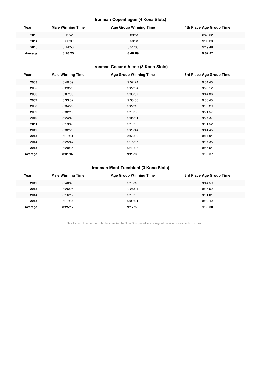## **Ironman Copenhagen (4 Kona Slots)**

| Year    | <b>Male Winning Time</b> | <b>Age Group Winning Time</b> | 4th Place Age Group Time |
|---------|--------------------------|-------------------------------|--------------------------|
| 2013    | 8:12:41                  | 8:39:51                       | 8:48:02                  |
| 2014    | 8:03:39                  | 8:53:31                       | 9:00:33                  |
| 2015    | 8:14:56                  | 8:51:05                       | 9:19:48                  |
| Average | 8:10:25                  | 8:48:09                       | 9:02:47                  |

## **Ironman Coeur d'Alene (3 Kona Slots)**

| Year    | <b>Male Winning Time</b> | <b>Age Group Winning Time</b> | 3rd Place Age Group Time |
|---------|--------------------------|-------------------------------|--------------------------|
| 2003    | 8:40:59                  | 9:52:24                       | 9:54:40                  |
| 2005    | 8:23:29                  | 9:22:04                       | 9:28:12                  |
| 2006    | 9:07:05                  | 9:36:57                       | 9:44:36                  |
| 2007    | 8:33:32                  | 9:35:00                       | 9:50:45                  |
| 2008    | 8:34:22                  | 9:22:15                       | 9:39:29                  |
| 2009    | 8:32:12                  | 9:10:58                       | 9:21:57                  |
| 2010    | 8:24:40                  | 9:05:31                       | 9:27:37                  |
| 2011    | 8:19:48                  | 9:19:09                       | 9:31:52                  |
| 2012    | 8:32:29                  | 9:28:44                       | 9:41:45                  |
| 2013    | 8:17:31                  | 8:53:00                       | 9:14:04                  |
| 2014    | 8:25:44                  | 9:16:36                       | 9:37:35                  |
| 2015    | 8:20:35                  | 9:41:08                       | 9:46:54                  |
| Average | 8:31:02                  | 9:23:38                       | 9:36:37                  |

## **Ironman Mont-Tremblant (3 Kona Slots)**

| Year    | <b>Male Winning Time</b> | <b>Age Group Winning Time</b> | 3rd Place Age Group Time |
|---------|--------------------------|-------------------------------|--------------------------|
| 2012    | 8:40:48                  | 9:18:13                       | 9:44:59                  |
| 2013    | 8:26:06                  | 9:25:11                       | 9:35:52                  |
| 2014    | 8:16:17                  | 9:19:02                       | 9:31:01                  |
| 2015    | 8:17:37                  | 9:09:21                       | 9:30:40                  |
| Average | 8:25:12                  | 9:17:56                       | 9:35:38                  |

Results from Ironman.com. Tables compiled by Russ Cox (russell.m.cox@gmail.com) for www.coachcox.co.uk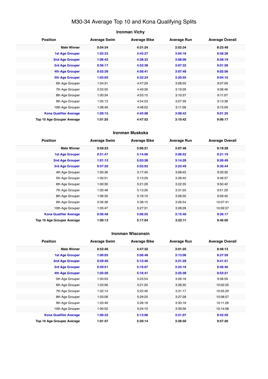## M30-34 Average Top 10 and Kona Qualifying Splits

## **Ironman Vichy Position Average Swim Average Bike Average Run Average Overall Male Winner 0:54:34 4:31:24 2:52:34 8:23:49 1st Age Grouper 1:02:33 4:45:27 3:04:18 8:58:38 2nd Age Grouper 1:06:42 4:38:33 3:08:00 8:59:19 3rd Age Grouper 0:56:17 4:52:38 3:07:32 9:01:58 4th Age Grouper 0:52:39 4:56:41 3:07:48 9:02:56 5th Age Grouper 1:03:05 4:32:24 3:20:55 9:04:16** 6th Age Grouper 1:04:31 4:47:29 3:08:55 9:07:09 7th Age Grouper 0:53:50 4:49:26 3:19:26 9:08:46 8th Age Grouper 1:00:34 4:53:15 3:10:37 9:11:07 9th Age Grouper 1:05:13 4:54:53 3:07:39 9:13:38 10th Age Grouper 1:08:49 4:48:02 3:11:58 9:15:09 **Kona Qualifier Average 1:00:15 4:45:08 3:09:42 9:01:25 Top 10 Age Grouper Average 1:01:25 4:47:52 3:10:42 9:06:17**

#### **Ironman Muskoka**

| <b>Position</b>                   | <b>Average Swim</b> | <b>Average Bike</b> | <b>Average Run</b> | <b>Average Overall</b> |
|-----------------------------------|---------------------|---------------------|--------------------|------------------------|
| <b>Male Winner</b>                | 0:59:23             | 5:06:21             | 3:07:48            | 9:19:28                |
| <b>1st Age Grouper</b>            | 0:51:47             | 5:14:06             | 3:08:52            | 9:21:19                |
| 2nd Age Grouper                   | 1:01:12             | 5:03:38             | 3:14:20            | 9:26:49                |
| 3rd Age Grouper                   | 0:57:26             | 5:03:03             | 3:23:49            | 9:30:44                |
| 4th Age Grouper                   | 1:00:36             | 5:17:40             | 3:08:45            | 9:33:30                |
| 5th Age Grouper                   | 1:00:51             | 5:13:29             | 3:28:40            | 9:48:57                |
| 6th Age Grouper                   | 1:00:30             | 5:21:26             | 3:22:35            | 9:50:42                |
| 7th Age Grouper                   | 1:00:48             | 5:13:26             | 3:31:03            | 9:51:29                |
| 8th Age Grouper                   | 1:06:35             | 5:18:10             | 3:28:30            | 9:59:42                |
| 9th Age Grouper                   | 0:56:38             | 5:38:15             | 3:26:54            | 10:07:41               |
| 10th Age Grouper                  | 1:05:47             | 5:27:31             | 3:28:28            | 10:09:57               |
| <b>Kona Qualifier Average</b>     | 0:56:48             | 5:06:55             | 3:15:40            | 9:26:17                |
| <b>Top 10 Age Grouper Average</b> | 1:00:13             | 5:17:04             | 3:22:11            | 9:46:05                |

#### **Ironman Wisconsin**

| <b>Position</b>               | <b>Average Swim</b> | <b>Average Bike</b> | <b>Average Run</b> | <b>Average Overall</b> |
|-------------------------------|---------------------|---------------------|--------------------|------------------------|
| <b>Male Winner</b>            | 0:52:46             | 4:47:32             | 3:01:25            | 8:48:13                |
| <b>1st Age Grouper</b>        | 1:00:05             | 5:06:48             | 3:13:06            | 9:27:59                |
| 2nd Age Grouper               | 0:59:40             | 5:12:46             | 3:21:29            | 9:41:51                |
| 3rd Age Grouper               | 0:59:51             | 5:16:07             | 3:24:16            | 9:48:46                |
| 4th Age Grouper               | 1:02:30             | 5:16:41             | 3:25:39            | 9:53:21                |
| 5th Age Grouper               | 1:00:03             | 5:23:54             | 3:26:18            | 9:58:59                |
| 6th Age Grouper               | 1:03:56             | 5:21:20             | 3:28:35            | 10:02:25               |
| 7th Age Grouper               | 1:02:14             | 5:22:46             | 3:31:17            | 10:05:29               |
| 8th Age Grouper               | 1:03:08             | 5:29:25             | 3:27:28            | 10:08:57               |
| 9th Age Grouper               | 1:03:49             | 5:28:18             | 3:30:18            | 10:11:28               |
| 10th Age Grouper              | 1:00:52             | 5:24:10             | 3:39:56            | 10:14:08               |
| <b>Kona Qualifier Average</b> | 1:00:32             | 5:13:06             | 3:21:07            | 9:42:59                |
| Top 10 Age Grouper Average    | 1:01:37             | 5:20:14             | 3:26:50            | 9:57:20                |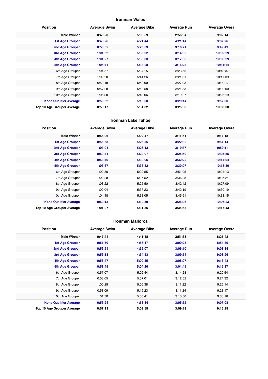#### **Ironman Wales**

| <b>Position</b>               | <b>Average Swim</b> | <b>Average Bike</b> | <b>Average Run</b> | <b>Average Overall</b> |
|-------------------------------|---------------------|---------------------|--------------------|------------------------|
| <b>Male Winner</b>            | 0:49:20             | 5:08:59             | 2:56:04            | 9:02:14                |
| <b>1st Age Grouper</b>        | 0:46:26             | 4:21:44             | 4:21:44            | 9:37:26                |
| 2nd Age Grouper               | 0:58:55             | 5:23:53             | 3:16:21            | 9:49:49                |
| 3rd Age Grouper               | 1:01:52             | 5:36:02             | 3:14:02            | 10:02:29               |
| 4th Age Grouper               | 1:01:27             | 5:35:33             | 3:17:36            | 10:06:29               |
| <b>5th Age Grouper</b>        | 1:05:41             | 5:38:28             | 3:16:28            | 10:11:14               |
| 6th Age Grouper               | 1:01:57             | 5:37:15             | 3:23:55            | 10:13:37               |
| 7th Age Grouper               | 1:02:20             | 5:41:26             | 3:21:31            | 10:17:39               |
| 8th Age Grouper               | 0:50:18             | 5:42:00             | 3:27:03            | 10:20:17               |
| 9th Age Grouper               | 0:57:28             | 5:50:58             | 3:21:33            | 10:22:00               |
| 10th Age Grouper              | 1:06:30             | 5:48:06             | 3:19:27            | 10:25:19               |
| <b>Kona Qualifier Average</b> | 0:58:52             | 5:19:08             | 3:29:14            | 9:57:30                |
| Top 10 Age Grouper Average    | 0:59:17             | 5:31:32             | 3:25:58            | 10:08:38               |

#### **Ironman Lake Tahoe**

| <b>Position</b>                   | <b>Average Swim</b> | <b>Average Bike</b> | <b>Average Run</b> | <b>Average Overall</b> |
|-----------------------------------|---------------------|---------------------|--------------------|------------------------|
| <b>Male Winner</b>                | 0:56:06             | 5:02:47             | 3:11:51            | 9:17:18                |
| <b>1st Age Grouper</b>            | 0:55:58             | 5:26:55             | 3:22:32            | 9:54:14                |
| 2nd Age Grouper                   | 1:03:04             | 5:26:13             | 3:19:37            | 9:59:11                |
| 3rd Age Grouper                   | 0:59:44             | 5:29:07             | 3:25:50            | 10:05:55               |
| <b>4th Age Grouper</b>            | 0:53:40             | 5:39:06             | 3:32:22            | 10:14:04               |
| <b>5th Age Grouper</b>            | 1:03:37             | 5:33:32             | 3:30:07            | 10:18:30               |
| 6th Age Grouper                   | 1:02:30             | 5:22:55             | 3:51:05            | 10:24:13               |
| 7th Age Grouper                   | 1:02:28             | 5:36:52             | 3:36:28            | 10:25:24               |
| 8th Age Grouper                   | 1:03:22             | 5:25:50             | 3:42:42            | 10:27:09               |
| 9th Age Grouper                   | 1:02:04             | 5:37:23             | 3:42:19            | 10:30:19               |
| 10th Age Grouper                  | 1:04:48             | 5:38:05             | 3:45:51            | 10:38:15               |
| <b>Kona Qualifier Average</b>     | 0:59:13             | 5:30:59             | 3:26:06            | 10:06:23               |
| <b>Top 10 Age Grouper Average</b> | 1:01:07             | 5:31:36             | 3:34:53            | 10:17:43               |

#### **Ironman Mallorca**

| <b>Position</b>               | <b>Average Swim</b> | <b>Average Bike</b> | <b>Average Run</b> | <b>Average Overall</b> |
|-------------------------------|---------------------|---------------------|--------------------|------------------------|
| <b>Male Winner</b>            | 0:47:41             | 4:41:48             | 2:51:33            | 8:25:42                |
| <b>1st Age Grouper</b>        | 0:51:50             | 4:56:17             | 3:00:23            | 8:54:39                |
| 2nd Age Grouper               | 0:56:21             | 4:55:07             | 3:06:10            | 9:03:34                |
| 3rd Age Grouper               | 0:56:18             | 4:54:53             | 3:09:54            | 9:08:26                |
| 4th Age Grouper               | 0:58:47             | 5:00:35             | 3:08:07            | 9:13:43                |
| <b>5th Age Grouper</b>        | 0:58:45             | 5:04:20             | 3:04:45            | 9:15:17                |
| 6th Age Grouper               | 0:57:07             | 5:02:44             | 3:14:28            | 9:20:54                |
| 7th Age Grouper               | 0:58:05             | 5:07:01             | 3:12:52            | 9:24:32                |
| 8th Age Grouper               | 1:00:25             | 5:06:38             | 3:11:22            | 9:25:14                |
| 9th Age Grouper               | 0:53:09             | 5:16:23             | 3:11:24            | 9:28:17                |
| 10th Age Grouper              | 1:01:30             | 5:05:41             | 3:13:50            | 9:30:16                |
| <b>Kona Qualifier Average</b> | 0:56:24             | 4:58:14             | 3:05:52            | 9:07:08                |
| Top 10 Age Grouper Average    | 0:57:13             | 5:02:58             | 3:09:19            | 9:16:29                |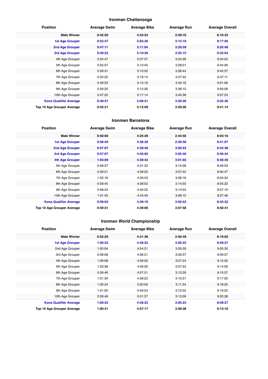## **Ironman Chattanooga**

| <b>Position</b>               | <b>Average Swim</b> | <b>Average Bike</b> | <b>Average Run</b> | <b>Average Overall</b> |
|-------------------------------|---------------------|---------------------|--------------------|------------------------|
| <b>Male Winner</b>            | 0:42:50             | 4:33:53             | 2:49:16            | 8:10:32                |
| <b>1st Age Grouper</b>        | 0:52:47             | 5:03:30             | 3:15:10            | 9:17:56                |
| 2nd Age Grouper               | 0:47:11             | 5:11:04             | 3:20:59            | 9:25:48                |
| <b>3rd Age Grouper</b>        | 0:49:22             | 5:10:29             | 3:25:15            | 9:33:04                |
| 4th Age Grouper               | 0:54:47             | 5:07:37             | 3:24:28            | 9:34:02                |
| 5th Age Grouper               | 0:55:07             | 5:13:45             | 3:28:01            | 9:44:06                |
| 6th Age Grouper               | 0:59:31             | 5:10:52             | 3:28:44            | 9:45:37                |
| 7th Age Grouper               | 0:53:22             | 5:19:14             | 3:27:42            | 9:47:11                |
| 8th Age Grouper               | 0:49:23             | 5:12:18             | 3:42:16            | 9:51:06                |
| 9th Age Grouper               | 0:56:20             | 5:15:26             | 3:36:10            | 9:56:06                |
| 10th Age Grouper              | 0:47:22             | 5:17:14             | 3:45:38            | 9:57:23                |
| <b>Kona Qualifier Average</b> | 0:49:47             | 5:08:21             | 3:20:28            | 9:25:36                |
| Top 10 Age Grouper Average    | 0:52:31             | 5:12:09             | 3:29:26            | 9:41:14                |

#### **Ironman Barcelona**

| <b>Position</b>               | <b>Average Swim</b> | <b>Average Bike</b> | <b>Average Run</b> | <b>Average Overall</b> |
|-------------------------------|---------------------|---------------------|--------------------|------------------------|
| <b>Male Winner</b>            | 0:50:00             | 4:25:29             | 2:44:56            | 8:03:16                |
| <b>1st Age Grouper</b>        | 0:58:49             | 4:38:39             | 2:58:58            | 8:41:07                |
| 2nd Age Grouper               | 0:57:07             | 4:38:49             | 3:05:53            | 8:45:48                |
| 3rd Age Grouper               | 0:57:07             | 4:40:05             | 3:05:40            | 8:46:34                |
| 4th Age Grouper               | 1:03:09             | 4:39:42             | 3:01:03            | 8:48:40                |
| 5th Age Grouper               | 0:58:27             | 4:31:32             | 3:15:08            | 8:49:03                |
| 6th Age Grouper               | 0:59:21             | 4:39:20             | 3:07:42            | 8:50:47                |
| 7th Age Grouper               | 1:02:19             | 4:39:43             | 3:08:18            | 8:54:34                |
| 8th Age Grouper               | 0:58:45             | 4:38:02             | 3:14:50            | 8:55:22                |
| 9th Age Grouper               | 0:58:24             | 4:40:22             | 3:14:04            | 8:57:10                |
| 10th Age Grouper              | 1:01:42             | 4:43:49             | 3:08:10            | 8:57:48                |
| <b>Kona Qualifier Average</b> | 0:59:03             | 4:39:19             | 3:02:53            | 8:45:32                |
| Top 10 Age Grouper Average    | 0:59:31             | 4:39:00             | 3:07:58            | 8:50:41                |

## **Ironman World Championship**

| <b>Position</b>               | <b>Average Swim</b> | <b>Average Bike</b> | <b>Average Run</b> | <b>Average Overall</b> |
|-------------------------------|---------------------|---------------------|--------------------|------------------------|
| <b>Male Winner</b>            | 0:52:20             | 4:31:38             | 2:50:49            | 8:19:02                |
| <b>1st Age Grouper</b>        | 1:00:32             | 4:48:23             | 3:05:23            | 8:59:27                |
| 2nd Age Grouper               | 1:00:04             | 4:54:21             | 3:05:29            | 9:05:35                |
| 3rd Age Grouper               | 0:58:08             | 4:56:21             | 3:09:37            | 9:09:27                |
| 4th Age Grouper               | 1:00:08             | 4:59:20             | 3:07:24            | 9:12:20                |
| 5th Age Grouper               | 1:03:38             | 4:56:26             | 3:07:53            | 9:14:05                |
| 6th Age Grouper               | 0:59:46             | 4:57:31             | 3:12:29            | 9:15:37                |
| 7th Age Grouper               | 1:01:34             | 4:58:23             | 3:10:31            | 9:17:00                |
| 8th Age Grouper               | 1:00:24             | 5:00:59             | 3:11:34            | 9:18:20                |
| 9th Age Grouper               | 1:01:05             | 4:59:24             | 3:12:55            | 9:19:22                |
| 10th Age Grouper              | 0:59:46             | 5:01:37             | 3:13:09            | 9:20:28                |
| <b>Kona Qualifier Average</b> | 1:00:32             | 4:48:23             | 3:05:23            | 8:59:27                |
| Top 10 Age Grouper Average    | 1:00:31             | 4:57:17             | 3:09:38            | 9:13:10                |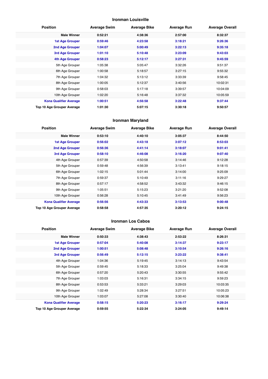#### **Ironman Louisville**

| <b>Position</b>               | <b>Average Swim</b> | <b>Average Bike</b> | <b>Average Run</b> | <b>Average Overall</b> |
|-------------------------------|---------------------|---------------------|--------------------|------------------------|
| <b>Male Winner</b>            | 0:52:21             | 4:38:36             | 2:57:00            | 8:32:37                |
| <b>1st Age Grouper</b>        | 0:59:46             | 4:23:58             | 3:18:21            | 9:26:36                |
| 2nd Age Grouper               | 1:04:07             | 5:00:49             | 3:22:13            | 9:35:18                |
| <b>3rd Age Grouper</b>        | 1:01:10             | 5:10:48             | 3:23:09            | 9:43:03                |
| 4th Age Grouper               | 0:58:23             | 5:12:17             | 3:27:31            | 9:45:59                |
| 5th Age Grouper               | 1:05:38             | 5:05:47             | 3:32:26            | 9:51:37                |
| 6th Age Grouper               | 1:00:58             | 5:18:57             | 3:27:15            | 9:55:32                |
| 7th Age Grouper               | 1:04:32             | 5:13:12             | 3:33:39            | 9:58:45                |
| 8th Age Grouper               | 1:00:05             | 5:12:37             | 3:40:56            | 10:02:31               |
| 9th Age Grouper               | 0:58:03             | 5:17:18             | 3:39:57            | 10:04:09               |
| 10th Age Grouper              | 1:02:20             | 5:16:48             | 3:37:32            | 10:05:59               |
| <b>Kona Qualifier Average</b> | 1:00:51             | 4:56:58             | 3:22:48            | 9:37:44                |
| Top 10 Age Grouper Average    | 1:01:30             | 5:07:15             | 3:30:18            | 9:50:57                |

#### **Ironman Maryland**

| <b>Position</b>               | <b>Average Swim</b> | <b>Average Bike</b> | <b>Average Run</b> | <b>Average Overall</b> |
|-------------------------------|---------------------|---------------------|--------------------|------------------------|
| <b>Male Winner</b>            | 0:53:10             | 4:40:10             | 3:05:37            | 8:44:50                |
| <b>1st Age Grouper</b>        | 0:56:02             | 4:43:18             | 3:07:12            | 8:53:03                |
| 2nd Age Grouper               | 0:56:36             | 4:41:14             | 3:18:07            | 9:01:41                |
| 3rd Age Grouper               | 0:58:10             | 4:46:08             | 3:16:20            | 9:07:40                |
| 4th Age Grouper               | 0:57:39             | 4:50:58             | 3:14:46            | 9:12:28                |
| 5th Age Grouper               | 0:59:48             | 4:56:39             | 3:13:41            | 9:18:15                |
| 6th Age Grouper               | 1:02:15             | 5:01:44             | 3:14:00            | 9:25:09                |
| 7th Age Grouper               | 0:59:37             | 5:10:49             | 3:11:16            | 9:29:27                |
| 8th Age Grouper               | 0:57:17             | 4:58:52             | 3:43:32            | 9:46:15                |
| 9th Age Grouper               | 1:05:51             | 5:15:23             | 3:21:20            | 9:52:08                |
| 10th Age Grouper              | 0:56:28             | 5:10:45             | 3:41:49            | 9:56:23                |
| <b>Kona Qualifier Average</b> | 0:56:56             | 4:43:33             | 3:13:53            | 9:00:48                |
| Top 10 Age Grouper Average    | 0:58:58             | 4:57:35             | 3:20:12            | 9:24:15                |

#### **Ironman Los Cabos**

| <b>Position</b>               | <b>Average Swim</b> | <b>Average Bike</b> | <b>Average Run</b> | <b>Average Overall</b> |
|-------------------------------|---------------------|---------------------|--------------------|------------------------|
| <b>Male Winner</b>            | 0:50:33             | 4:38:43             | 2:53:22            | 8:26:31                |
| <b>1st Age Grouper</b>        | 0:57:04             | 5:40:08             | 3:14:37            | 9:23:17                |
| 2nd Age Grouper               | 1:00:51             | 5:08:48             | 3:10:54            | 9:26:16                |
| 3rd Age Grouper               | 0:56:49             | 5:12:15             | 3:23:22            | 9:38:41                |
| 4th Age Grouper               | 1:04:36             | 5:19:45             | 3:14:13            | 9:43:54                |
| 5th Age Grouper               | 0:59:45             | 5:18:33             | 3:25:04            | 9:49:38                |
| 6th Age Grouper               | 0:57:20             | 5:20:43             | 3:30:55            | 9:55:42                |
| 7th Age Grouper               | 1:03:03             | 5:16:31             | 3:34:15            | 9:59:23                |
| 8th Age Grouper               | 0:53:53             | 5:33:21             | 3:29:03            | 10:03:35               |
| 9th Age Grouper               | 1:02:49             | 5:28:34             | 3:27:51            | 10:05:23               |
| 10th Age Grouper              | 1:03:07             | 5:27:08             | 3:30:40            | 10:06:38               |
| <b>Kona Qualifier Average</b> | 0:58:15             | 5:20:23             | 3:16:17            | 9:29:24                |
| Top 10 Age Grouper Average    | 0:59:55             | 5:22:34             | 3:24:05            | 9:49:14                |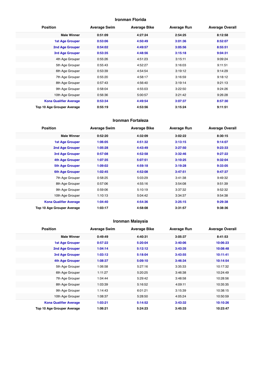#### **Ironman Florida**

| <b>Position</b>               | <b>Average Swim</b> | <b>Average Bike</b> | <b>Average Run</b> | <b>Average Overall</b> |
|-------------------------------|---------------------|---------------------|--------------------|------------------------|
| <b>Male Winner</b>            | 0:51:09             | 4:27:24             | 2:54:25            | 8:12:58                |
| <b>1st Age Grouper</b>        | 0:53:06             | 4:50:49             | 3:01:36            | 8:52:07                |
| 2nd Age Grouper               | 0:54:02             | 4:49:57             | 3:05:56            | 8:55:51                |
| 3rd Age Grouper               | 0:53:35             | 4:48:56             | 3:15:18            | 9:04:31                |
| 4th Age Grouper               | 0:55:26             | 4:51:23             | 3:15:11            | 9:09:24                |
| 5th Age Grouper               | 0:55:43             | 4:52:27             | 3:16:03            | 9:11:51                |
| 6th Age Grouper               | 0:53:39             | 4:54:54             | 3:19:12            | 9:14:29                |
| 7th Age Grouper               | 0:55:20             | 4:58:17             | 3:16:59            | 9:18:12                |
| 8th Age Grouper               | 0:57:43             | 4:56:40             | 3:19:14            | 9:21:13                |
| 9th Age Grouper               | 0:58:04             | 4:55:03             | 3:22:50            | 9:24:26                |
| 10th Age Grouper              | 0:56:36             | 5:00:57             | 3:21:42            | 9:26:28                |
| <b>Kona Qualifier Average</b> | 0:53:34             | 4:49:54             | 3:07:37            | 8:57:30                |
| Top 10 Age Grouper Average    | 0:55:19             | 4:53:56             | 3:15:24            | 9:11:51                |

#### **Ironman Fortaleza**

| <b>Position</b>               | <b>Average Swim</b> | <b>Average Bike</b> | <b>Average Run</b> | <b>Average Overall</b> |
|-------------------------------|---------------------|---------------------|--------------------|------------------------|
| <b>Male Winner</b>            | 0:52:20             | 4:32:09             | 3:02:22            | 8:30:15                |
| <b>1st Age Grouper</b>        | 1:06:05             | 4:51:32             | 3:13:15            | 9:14:07                |
| 2nd Age Grouper               | 1:05:28             | 4:43:49             | 3:27:50            | 9:23:33                |
| 3rd Age Grouper               | 0:57:08             | 4:52:58             | 3:32:46            | 9:27:22                |
| 4th Age Grouper               | 1:07:35             | 5:07:51             | 3:10:25            | 9:32:04                |
| <b>5th Age Grouper</b>        | 1:09:02             | 4:59:18             | 3:19:28            | 9:33:05                |
| <b>6th Age Grouper</b>        | 1:02:45             | 4:52:08             | 3:47:51            | 9:47:37                |
| 7th Age Grouper               | 0:58:25             | 5:03:29             | 3:41:38            | 9:49:32                |
| 8th Age Grouper               | 0:57:06             | 4:55:16             | 3:54:08            | 9:51:39                |
| 9th Age Grouper               | 0:59:06             | 5:10:19             | 3:37:32            | 9:52:32                |
| 10th Age Grouper              | 1:10:13             | 5:04:42             | 3:34:37            | 9:54:38                |
| <b>Kona Qualifier Average</b> | 1:04:40             | 4:54:36             | 3:25:15            | 9:29:38                |
| Top 10 Age Grouper Average    | 1:03:17             | 4:58:08             | 3:31:57            | 9:38:36                |

## **Ironman Malaysia**

| <b>Position</b>               | <b>Average Swim</b> | <b>Average Bike</b> | <b>Average Run</b> | <b>Average Overall</b> |
|-------------------------------|---------------------|---------------------|--------------------|------------------------|
| <b>Male Winner</b>            | 0:49:49             | 4:40:31             | 3:05:37            | 8:41:53                |
| <b>1st Age Grouper</b>        | 0:57:22             | 5:20:04             | 3:40:06            | 10:06:23               |
| 2nd Age Grouper               | 1:04:14             | 5:12:12             | 3:43:35            | 10:08:48               |
| 3rd Age Grouper               | 1:03:12             | 5:18:04             | 3:43:55            | 10:11:41               |
| 4th Age Grouper               | 1:08:37             | 5:09:10             | 3:46:34            | 10:14:54               |
| 5th Age Grouper               | 1:06:58             | 5:27:16             | 3:35:33            | 10:17:32               |
| 6th Age Grouper               | 1:11:27             | 5:20:25             | 3:46:38            | 10:24:49               |
| 7th Age Grouper               | 1:04:44             | 5:29:42             | 3:48:58            | 10:28:56               |
| 8th Age Grouper               | 1:03:39             | 5:16:52             | 4:09:11            | 10:35:35               |
| 9th Age Grouper               | 1:14:43             | 6:01:21             | 3:15:39            | 10:38:15               |
| 10th Age Grouper              | 1:08:37             | 5:28:50             | 4:05:24            | 10:50:59               |
| <b>Kona Qualifier Average</b> | 1:03:21             | 5:14:52             | 3:43:32            | 10:10:26               |
| Top 10 Age Grouper Average    | 1:06:21             | 5:24:23             | 3:45:33            | 10:23:47               |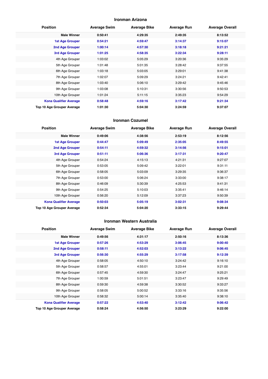#### **Ironman Arizona**

| <b>Position</b>               | <b>Average Swim</b> | <b>Average Bike</b> | <b>Average Run</b> | <b>Average Overall</b> |
|-------------------------------|---------------------|---------------------|--------------------|------------------------|
| <b>Male Winner</b>            | 0:50:41             | 4:29:35             | 2:49:35            | 8:13:52                |
| <b>1st Age Grouper</b>        | 0:54:21             | 4:59:47             | 3:14:37            | 9:15:07                |
| 2nd Age Grouper               | 1:00:14             | 4:57:30             | 3:18:18            | 9:21:21                |
| 3rd Age Grouper               | 1:01:25             | 4:58:35             | 3:22:34            | 9:28:11                |
| 4th Age Grouper               | 1:03:02             | 5:05:29             | 3:20:36            | 9:35:29                |
| 5th Age Grouper               | 1:01:48             | 5:01:35             | 3:28:42            | 9:37:55                |
| 6th Age Grouper               | 1:03:18             | 5:03:05             | 3:29:01            | 9:41:38                |
| 7th Age Grouper               | 1:02:07             | 5:09:29             | 3:24:21            | 9:42:41                |
| 8th Age Grouper               | 1:03:40             | 5:06:10             | 3:29:42            | 9:45:46                |
| 9th Age Grouper               | 1:03:08             | 5:10:31             | 3:30:56            | 9:50:53                |
| 10th Age Grouper              | 1:01:24             | 5:11:15             | 3:35:23            | 9:54:29                |
| <b>Kona Qualifier Average</b> | 0:58:48             | 4:59:16             | 3:17:42            | 9:21:34                |
| Top 10 Age Grouper Average    | 1:01:30             | 5:04:30             | 3:24:59            | 9:37:07                |

#### **Ironman Cozumel**

| <b>Position</b>               | <b>Average Swim</b> | <b>Average Bike</b> | <b>Average Run</b> | <b>Average Overall</b> |
|-------------------------------|---------------------|---------------------|--------------------|------------------------|
| <b>Male Winner</b>            | 0:49:06             | 4:38:56             | 2:53:19            | 8:12:56                |
| <b>1st Age Grouper</b>        | 0:44:47             | 5:09:49             | 2:35:05            | 8:49:55                |
| 2nd Age Grouper               | 0:54:11             | 4:59:32             | 3:14:56            | 9:15:01                |
| <b>3rd Age Grouper</b>        | 0:51:11             | 5:06:36             | 3:17:31            | 9:20:47                |
| 4th Age Grouper               | 0:54:24             | 4:15:13             | 4:21:31            | 9:27:07                |
| 5th Age Grouper               | 0:53:05             | 5:09:42             | 3:22:01            | 9:31:11                |
| 6th Age Grouper               | 0:58:05             | 5:03:09             | 3:29:35            | 9:36:37                |
| 7th Age Grouper               | 0:53:00             | 5:06:24             | 3:33:00            | 9:38:17                |
| 8th Age Grouper               | 0:46:09             | 5:30:39             | 4:25:53            | 9:41:31                |
| 9th Age Grouper               | 0:54:25             | 5:10:03             | 3:35:41            | 9:46:14                |
| 10th Age Grouper              | 0:56:20             | 5:12:09             | 3:37:23            | 9:50:39                |
| <b>Kona Qualifier Average</b> | 0:50:03             | 5:05:19             | 3:02:31            | 9:08:34                |
| Top 10 Age Grouper Average    | 0:52:34             | 5:04:20             | 3:33:15            | 9:29:44                |

#### **Ironman Western Australia**

| <b>Position</b>               | <b>Average Swim</b> | <b>Average Bike</b> | <b>Average Run</b> | <b>Average Overall</b> |
|-------------------------------|---------------------|---------------------|--------------------|------------------------|
| <b>Male Winner</b>            | 0:49:56             | 4:31:17             | 2:50:16            | 8:13:36                |
| <b>1st Age Grouper</b>        | 0:57:26             | 4:53:29             | 3:06:45            | 9:00:40                |
| 2nd Age Grouper               | 0:58:11             | 4:52:03             | 3:13:22            | 9:06:45                |
| 3rd Age Grouper               | 0:56:30             | 4:55:29             | 3:17:58            | 9:12:39                |
| 4th Age Grouper               | 0:58:05             | 4:50:10             | 3:24:42            | 9:16:10                |
| 5th Age Grouper               | 0:58:57             | 4:55:01             | 3:23:44            | 9:21:00                |
| 6th Age Grouper               | 0:57:45             | 4:59:30             | 3:24:47            | 9:25:21                |
| 7th Age Grouper               | 1:00:59             | 5:01:51             | 3:23:47            | 9:29:49                |
| 8th Age Grouper               | 0:59:30             | 4:59:38             | 3:30:52            | 9:33:27                |
| 9th Age Grouper               | 0:58:05             | 5:00:52             | 3:33:16            | 9:35:56                |
| 10th Age Grouper              | 0:58:32             | 5:00:14             | 3:35:40            | 9:38:10                |
| <b>Kona Qualifier Average</b> | 0:57:22             | 4:53:40             | 3:12:42            | 9:06:42                |
| Top 10 Age Grouper Average    | 0:58:24             | 4:56:50             | 3:23:29            | 9:22:00                |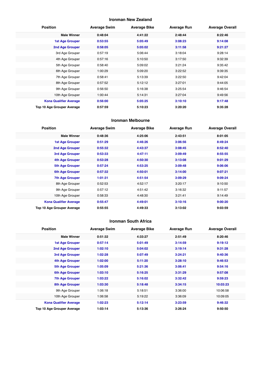#### **Ironman New Zealand**

| <b>Position</b>               | <b>Average Swim</b> | <b>Average Bike</b> | <b>Average Run</b> | <b>Average Overall</b> |
|-------------------------------|---------------------|---------------------|--------------------|------------------------|
| <b>Male Winner</b>            | 0:48:04             | 4:41:22             | 2:48:44            | 8:22:46                |
| <b>1st Age Grouper</b>        | 0:53:55             | 5:05:49             | 3:08:23            | 9:14:08                |
| 2nd Age Grouper               | 0:58:05             | 5:05:02             | 3:11:58            | 9:21:27                |
| 3rd Age Grouper               | 0:57:19             | 5:06:44             | 3:18:04            | 9:28:14                |
| 4th Age Grouper               | 0:57:16             | 5:10:50             | 3:17:50            | 9:32:39                |
| 5th Age Grouper               | 0:58:40             | 5:09:02             | 3:21:24            | 9:35:42                |
| 6th Age Grouper               | 1:00:29             | 5:09:20             | 3:22:52            | 9:39:35                |
| 7th Age Grouper               | 0:58:41             | 5:13:39             | 3:22:50            | 9:42:04                |
| 8th Age Grouper               | 0:57:52             | 5:12:12             | 3:27:01            | 9:44:05                |
| 9th Age Grouper               | 0:56:50             | 5:16:38             | 3:25:54            | 9:46:54                |
| 10th Age Grouper              | 1:00:44             | 5:14:31             | 3:27:04            | 9:49:56                |
| <b>Kona Qualifier Average</b> | 0:56:00             | 5:05:25             | 3:10:10            | 9:17:48                |
| Top 10 Age Grouper Average    | 0:57:59             | 5:10:23             | 3:20:20            | 9:35:28                |

#### **Ironman Melbourne**

| <b>Position</b>               | <b>Average Swim</b> | <b>Average Bike</b> | <b>Average Run</b> | <b>Average Overall</b> |
|-------------------------------|---------------------|---------------------|--------------------|------------------------|
| <b>Male Winner</b>            | 0:48:36             | 4:25:06             | 2:43:51            | 8:01:05                |
| <b>1st Age Grouper</b>        | 0:51:29             | 4:46:26             | 3:06:56            | 8:49:24                |
| 2nd Age Grouper               | 0:55:32             | 4:43:37             | 3:08:45            | 8:52:40                |
| <b>3rd Age Grouper</b>        | 0:53:33             | 4:47:11             | 3:09:49            | 8:55:55                |
| 4th Age Grouper               | 0:53:28             | 4:50:30             | 3:13:08            | 9:01:29                |
| <b>5th Age Grouper</b>        | 0:57:24             | 4:53:25             | 3:09:48            | 9:06:06                |
| <b>6th Age Grouper</b>        | 0:57:32             | 4:50:01             | 3:14:00            | 9:07:21                |
| <b>7th Age Grouper</b>        | 1:01:31             | 4:51:54             | 3:09:29            | 9:09:24                |
| 8th Age Grouper               | 0:52:53             | 4:52:17             | 3:20:17            | 9:10:50                |
| 9th Age Grouper               | 0:57:12             | 4:51:42             | 3:16:32            | 9:11:57                |
| 10th Age Grouper              | 0:58:33             | 4:48:30             | 3:21:41            | 9:14:49                |
| <b>Kona Qualifier Average</b> | 0:55:47             | 4:49:01             | 3:10:16            | 9:00:20                |
| Top 10 Age Grouper Average    | 0:55:55             | 4:49:33             | 3:13:02            | 9:03:59                |

#### **Ironman South Africa**

| <b>Position</b>               | <b>Average Swim</b> | <b>Average Bike</b> | <b>Average Run</b> | <b>Average Overall</b> |
|-------------------------------|---------------------|---------------------|--------------------|------------------------|
| <b>Male Winner</b>            | 0:51:32             | 4:33:27             | 2:51:49            | 8:20:46                |
| <b>1st Age Grouper</b>        | 0:57:14             | 5:01:49             | 3:14:59            | 9:19:12                |
| 2nd Age Grouper               | 1:02:10             | 5:04:02             | 3:19:14            | 9:31:28                |
| 3rd Age Grouper               | 1:02:28             | 5:07:49             | 3:24:21            | 9:40:36                |
| <b>4th Age Grouper</b>        | 1:02:00             | 5:11:20             | 3:28:10            | 9:46:53                |
| <b>5th Age Grouper</b>        | 1:05:09             | 5:21:36             | 3:06:41            | 9:54:16                |
| <b>6th Age Grouper</b>        | 1:03:10             | 5:16:25             | 3:31:29            | 9:57:08                |
| <b>7th Age Grouper</b>        | 1:03:22             | 5:16:02             | 3:32:42            | 9:59:23                |
| <b>8th Age Grouper</b>        | 1:03:30             | 5:18:48             | 3:34:15            | 10:03:23               |
| 9th Age Grouper               | 1:06:18             | 5:18:51             | 3:36:00            | 10:06:58               |
| 10th Age Grouper              | 1:06:58             | 5:19:22             | 3:36:09            | 10:09:05               |
| <b>Kona Qualifier Average</b> | 1:02:23             | 5:12:14             | 3:23:59            | 9:46:32                |
| Top 10 Age Grouper Average    | 1:03:14             | 5:13:36             | 3:26:24            | 9:50:50                |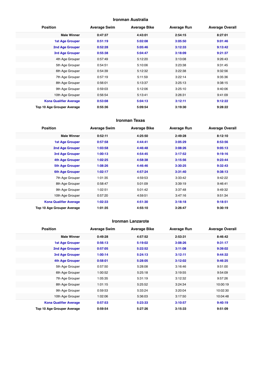#### **Ironman Australia**

| <b>Position</b>               | <b>Average Swim</b> | <b>Average Bike</b> | <b>Average Run</b> | <b>Average Overall</b> |
|-------------------------------|---------------------|---------------------|--------------------|------------------------|
| <b>Male Winner</b>            | 0:47:37             | 4:43:01             | 2:54:15            | 8:27:01                |
| <b>1st Age Grouper</b>        | 0:51:19             | 5:02:08             | 3:05:50            | 9:01:46                |
| 2nd Age Grouper               | 0:52:28             | 5:05:46             | 3:12:33            | 9:13:42                |
| 3rd Age Grouper               | 0:55:38             | 5:04:47             | 3:18:09            | 9:21:37                |
| 4th Age Grouper               | 0:57:49             | 5:12:20             | 3:13:08            | 9:26:43                |
| 5th Age Grouper               | 0:54:51             | 5:10:06             | 3:23:38            | 9:31:45                |
| 6th Age Grouper               | 0:54:39             | 5:12:32             | 3:22:38            | 9:32:56                |
| 7th Age Grouper               | 0:57:19             | 5:11:59             | 3:22:14            | 9:35:36                |
| 8th Age Grouper               | 0:56:01             | 5:13:37             | 3:25:13            | 9:38:15                |
| 9th Age Grouper               | 0:59:03             | 5:12:06             | 3:25:10            | 9:40:06                |
| 10th Age Grouper              | 0:56:54             | 5:13:41             | 3:26:31            | 9:41:09                |
| <b>Kona Qualifier Average</b> | 0:53:08             | 5:04:13             | 3:12:11            | 9:12:22                |
| Top 10 Age Grouper Average    | 0:55:36             | 5:09:54             | 3:19:30            | 9:28:22                |

#### **Ironman Texas**

| <b>Position</b>               | <b>Average Swim</b> | <b>Average Bike</b> | <b>Average Run</b> | <b>Average Overall</b> |
|-------------------------------|---------------------|---------------------|--------------------|------------------------|
| <b>Male Winner</b>            | 0:52:11             | 4:25:50             | 2:49:28            | 8:12:10                |
| <b>1st Age Grouper</b>        | 0:57:58             | 4:44:41             | 3:05:29            | 8:53:56                |
| 2nd Age Grouper               | 1:03:58             | 4:46:48             | 3:08:26            | 9:05:13                |
| 3rd Age Grouper               | 1:00:13             | 4:54:45             | 3:17:52            | 9:19:16                |
| 4th Age Grouper               | 1:02:25             | 4:58:38             | 3:15:56            | 9:23:44                |
| <b>5th Age Grouper</b>        | 1:08:26             | 4:46:46             | 3:30:25            | 9:32:43                |
| <b>6th Age Grouper</b>        | 1:02:17             | 4:57:24             | 3:31:40            | 9:38:13                |
| 7th Age Grouper               | 1:01:35             | 4:59:53             | 3:33:42            | 9:42:22                |
| 8th Age Grouper               | 0:58:47             | 5:01:09             | 3:39:19            | 9:46:41                |
| 9th Age Grouper               | 1:02:51             | 5:01:42             | 3:37:48            | 9:49:32                |
| 10th Age Grouper              | 0:57:20             | 4:59:51             | 3:47:16            | 9:51:34                |
| <b>Kona Qualifier Average</b> | 1:02:33             | 4:51:30             | 3:18:18            | 9:18:51                |
| Top 10 Age Grouper Average    | 1:01:35             | 4:55:10             | 3:26:47            | 9:30:19                |

#### **Ironman Lanzarote**

| <b>Position</b>               | <b>Average Swim</b> | <b>Average Bike</b> | <b>Average Run</b> | <b>Average Overall</b> |
|-------------------------------|---------------------|---------------------|--------------------|------------------------|
| <b>Male Winner</b>            | 0:49:28             | 4:57:52             | 2:53:31            | 8:46:42                |
| <b>1st Age Grouper</b>        | 0:56:13             | 5:19:02             | 3:08:26            | 9:31:17                |
| 2nd Age Grouper               | 0:57:05             | 5:22:52             | 3:11:08            | 9:39:02                |
| 3rd Age Grouper               | 1:00:14             | 5:24:13             | 3:12:11            | 9:44:32                |
| <b>4th Age Grouper</b>        | 0:58:01             | 5:28:05             | 3:12:02            | 9:46:25                |
| 5th Age Grouper               | 0:57:50             | 5:28:08             | 3:16:46            | 9:51:00                |
| 6th Age Grouper               | 1:00:52             | 5:25:18             | 3:19:55            | 9:54:09                |
| 7th Age Grouper               | 1:05:35             | 5:31:19             | 3:12:32            | 9:57:26                |
| 8th Age Grouper               | 1:01:15             | 5:25:52             | 3:24:34            | 10:00:19               |
| 9th Age Grouper               | 0:59:53             | 5:33:24             | 3:20:04            | 10:02:30               |
| 10th Age Grouper              | 1:02:06             | 5:36:03             | 3:17:50            | 10:04:48               |
| <b>Kona Qualifier Average</b> | 0:57:53             | 5:23:33             | 3:10:57            | 9:40:19                |
| Top 10 Age Grouper Average    | 0:59:54             | 5:27:26             | 3:15:33            | 9:51:09                |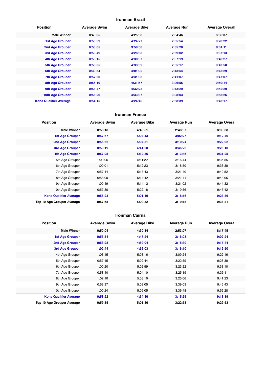#### **Ironman Brazil**

| <b>Position</b>               | <b>Average Swim</b> | <b>Average Bike</b> | <b>Average Run</b> | <b>Average Overall</b> |
|-------------------------------|---------------------|---------------------|--------------------|------------------------|
| <b>Male Winner</b>            | 0:49:05             | 4:25:58             | 2:54:46            | 8:36:37                |
| <b>1st Age Grouper</b>        | 0:53:59             | 4:24:27             | 2:55:54            | 9:28:22                |
| 2nd Age Grouper               | 0:53:05             | 3:58:08             | 2:35:28            | 9:34:11                |
| 3rd Age Grouper               | 0:53:49             | 4:28:38             | 2:59:02            | 9:37:13                |
| <b>4th Age Grouper</b>        | 0:56:15             | 4:30:57             | 2:57:19            | 9:40:27                |
| <b>5th Age Grouper</b>        | 0:58:35             | 4:33:59             | 2:55:17            | 9:43:50                |
| <b>6th Age Grouper</b>        | 0:39:54             | 4:01:02             | 2:43:54            | 9:45:29                |
| <b>7th Age Grouper</b>        | 0:57:30             | 4:31:33             | 2:41:07            | 9:47:07                |
| <b>8th Age Grouper</b>        | 0:55:10             | 4:31:57             | 3:06:55            | 9:50:14                |
| 9th Age Grouper               | 0:58:47             | 4:32:23             | 3:43:29            | 9:52:29                |
| 10th Age Grouper              | 0:55:26             | 4:33:37             | 3:08:03            | 9:53:26                |
| <b>Kona Qualifier Average</b> | 0:54:15             | 4:24:40             | 2:58:39            | 9:43:17                |

#### **Ironman France**

| <b>Position</b>               | <b>Average Swim</b> | <b>Average Bike</b> | <b>Average Run</b> | <b>Average Overall</b> |
|-------------------------------|---------------------|---------------------|--------------------|------------------------|
| <b>Male Winner</b>            | 0:50:18             | 4:46:51             | 2:48:07            | 8:30:38                |
| <b>1st Age Grouper</b>        | 0:57:57             | 5:04:43             | 3:02:27            | 9:12:46                |
| 2nd Age Grouper               | 0:56:52             | 5:07:51             | 3:10:24            | 9:22:02                |
| 3rd Age Grouper               | 0:53:19             | 4:41:28             | 3:46:29            | 9:28:10                |
| <b>4th Age Grouper</b>        | 0:57:25             | 5:12:36             | 3:13:45            | 9:31:25                |
| 5th Age Grouper               | 1:00:06             | 5:11:22             | 3:16:44            | 9:35:55                |
| 6th Age Grouper               | 1:00:01             | 5:12:23             | 3:18:50            | 9:38:38                |
| 7th Age Grouper               | 0:57:44             | 5:13:43             | 3:21:40            | 9:40:52                |
| 8th Age Grouper               | 0:58:00             | 5:14:42             | 3:21:41            | 9:43:05                |
| 9th Age Grouper               | 1:00:49             | 5:14:12             | 3:21:02            | 9:44:32                |
| 10th Age Grouper              | 0:57:30             | 5:22:18             | 3:19:56            | 9:47:42                |
| <b>Kona Qualifier Average</b> | 0:56:23             | 5:01:40             | 3:18:16            | 9:23:36                |
| Top 10 Age Grouper Average    | 0:57:58             | 5:09:32             | 3:19:18            | 9:34:31                |

#### **Ironman Cairns**

| <b>Position</b>               | <b>Average Swim</b> | <b>Average Bike</b> | <b>Average Run</b> | <b>Average Overall</b> |
|-------------------------------|---------------------|---------------------|--------------------|------------------------|
| <b>Male Winner</b>            | 0:50:04             | 4:30:34             | 2:53:07            | 8:17:45                |
| <b>1st Age Grouper</b>        | 0:53:54             | 4:47:24             | 3:16:03            | 9:02:24                |
| 2nd Age Grouper               | 0:58:28             | 4:59:04             | 3:15:30            | 9:17:44                |
| 3rd Age Grouper               | 1:02:44             | 4:56:03             | 3:16:10            | 9:19:50                |
| 4th Age Grouper               | 1:03:15             | 5:03:16             | 3:09:24            | 9:22:16                |
| 5th Age Grouper               | 0:57:15             | 5:02:44             | 3:22:59            | 9:28:38                |
| 6th Age Grouper               | 1:00:20             | 5:02:59             | 3:23:22            | 9:33:10                |
| 7th Age Grouper               | 0:58:40             | 5:04:10             | 3:25:19            | 9:35:11                |
| 8th Age Grouper               | 1:02:10             | 5:08:10             | 3:25:06            | 9:41:23                |
| 9th Age Grouper               | 0:58:37             | 5:03:05             | 3:39:03            | 9:45:43                |
| 10th Age Grouper              | 1:00:24             | 5:09:05             | 3:36:48            | 9:52:28                |
| <b>Kona Qualifier Average</b> | 0:58:22             | 4:54:10             | 3:15:55            | 9:13:19                |
| Top 10 Age Grouper Average    | 0:59:35             | 5:01:36             | 3:22:58            | 9:29:53                |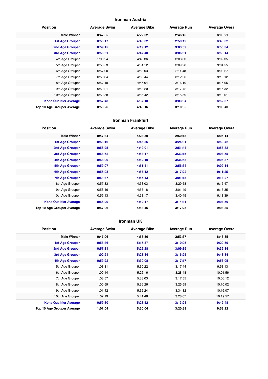#### **Ironman Austria**

| <b>Position</b>               | <b>Average Swim</b> | <b>Average Bike</b> | <b>Average Run</b> | <b>Average Overall</b> |
|-------------------------------|---------------------|---------------------|--------------------|------------------------|
| <b>Male Winner</b>            | 0:47:35             | 4:22:02             | 2:46:46            | 8:00:21                |
| <b>1st Age Grouper</b>        | 0:55:17             | 4:45:02             | 2:59:12            | 8:45:02                |
| 2nd Age Grouper               | 0:59:15             | 4:19:12             | 3:03:09            | 8:53:34                |
| <b>3rd Age Grouper</b>        | 0:58:51             | 4:47:40             | 3:06:51            | 8:59:14                |
| 4th Age Grouper               | 1:00:24             | 4:48:36             | 3:08:03            | 9:02:35                |
| 5th Age Grouper               | 0:56:53             | 4:51:12             | 3:09:28            | 9:04:55                |
| 6th Age Grouper               | 0:57:00             | 4:53:03             | 3:11:48            | 9:08:27                |
| 7th Age Grouper               | 0:59:34             | 4:53:44             | 3:12:26            | 9:13:12                |
| 8th Age Grouper               | 0:57:49             | 4:55:04             | 3:16:10            | 9:15:05                |
| 9th Age Grouper               | 0:59:21             | 4:53:20             | 3:17:42            | 9:16:32                |
| 10th Age Grouper              | 0:59:58             | 4:55:42             | 3:15:59            | 9:18:01                |
| <b>Kona Qualifier Average</b> | 0:57:48             | 4:37:18             | 3:03:04            | 8:52:37                |
| Top 10 Age Grouper Average    | 0:58:26             | 4:48:16             | 3:10:05            | 9:05:40                |

#### **Ironman Frankfurt**

| <b>Position</b>               | <b>Average Swim</b> | <b>Average Bike</b> | <b>Average Run</b> | <b>Average Overall</b> |
|-------------------------------|---------------------|---------------------|--------------------|------------------------|
| <b>Male Winner</b>            | 0:47:34             | 4:23:50             | 2:50:18            | 8:05:14                |
| <b>1st Age Grouper</b>        | 0:53:16             | 4:46:56             | 3:24:31            | 8:50:42                |
| 2nd Age Grouper               | 0:56:25             | 4:49:01             | 2:51:44            | 8:58:32                |
| 3rd Age Grouper               | 0:58:52             | 4:53:17             | 3:33:15            | 9:03:55                |
| 4th Age Grouper               | 0:58:00             | 4:52:10             | 3:36:53            | 9:06:37                |
| <b>5th Age Grouper</b>        | 0:59:07             | 4:51:41             | 2:56:34            | 9:09:14                |
| <b>6th Age Grouper</b>        | 0:55:08             | 4:57:12             | 3:17:22            | 9:11:25                |
| <b>7th Age Grouper</b>        | 0:54:37             | 4:55:43             | 3:01:18            | 9:13:27                |
| 8th Age Grouper               | 0:57:33             | 4:58:03             | 3:29:58            | 9:15:47                |
| 9th Age Grouper               | 0:58:46             | 4:55:18             | 3:01:49            | 9:17:35                |
| 10th Age Grouper              | 0:59:13             | 4:58:17             | 3:40:45            | 9:18:39                |
| <b>Kona Qualifier Average</b> | 0:56:29             | 4:52:17             | 3:14:31            | 9:04:50                |
| Top 10 Age Grouper Average    | 0:57:06             | 4:53:46             | 3:17:25            | 9:08:35                |

#### **Ironman UK**

| <b>Position</b>               | <b>Average Swim</b> | <b>Average Bike</b> | <b>Average Run</b> | <b>Average Overall</b> |
|-------------------------------|---------------------|---------------------|--------------------|------------------------|
| <b>Male Winner</b>            | 0:47:06             | 4:58:56             | 2:53:37            | 8:43:35                |
| 1st Age Grouper               | 0:58:46             | 5:15:37             | 3:10:05            | 9:29:59                |
| 2nd Age Grouper               | 0:57:31             | 5:26:28             | 3:09:39            | 9:39:34                |
| 3rd Age Grouper               | 1:02:21             | 5:23:14             | 3:16:25            | 9:48:34                |
| 4th Age Grouper               | 0:59:22             | 5:30:08             | 3:17:17            | 9:53:05                |
| 5th Age Grouper               | 1:03:31             | 5:30:22             | 3:17:44            | 9:58:13                |
| 6th Age Grouper               | 1:00:14             | 5:26:16             | 3:28:48            | 10:01:56               |
| 7th Age Grouper               | 1:03:57             | 5:38:03             | 3:17:55            | 10:06:12               |
| 8th Age Grouper               | 1:00:59             | 5:36:26             | 3:25:59            | 10:10:02               |
| 9th Age Grouper               | 1:01:42             | 5:32:24             | 3:34:32            | 10:16:07               |
| 10th Age Grouper              | 1:02:19             | 5:41:46             | 3:28:07            | 10:19:57               |
| <b>Kona Qualifier Average</b> | 0:59:30             | 5:23:52             | 3:13:21            | 9:42:48                |
| Top 10 Age Grouper Average    | 1:01:04             | 5:30:04             | 3:20:39            | 9:58:22                |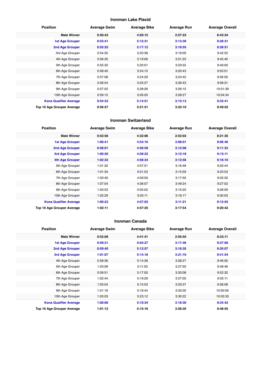#### **Ironman Lake Placid**

| <b>Position</b>               | <b>Average Swim</b> | <b>Average Bike</b> | <b>Average Run</b> | <b>Average Overall</b> |
|-------------------------------|---------------------|---------------------|--------------------|------------------------|
| <b>Male Winner</b>            | 0:50:43             | 4:50:15             | 2:57:23            | 8:43:34                |
| <b>1st Age Grouper</b>        | 0:53:41             | 5:12:31             | 3:13:30            | 9:28:31                |
| 2nd Age Grouper               | 0:55:25             | 5:17:12             | 3:16:55            | 9:38:51                |
| 3rd Age Grouper               | 0:54:20             | 5:20:38             | 3:19:09            | 9:42:52                |
| 4th Age Grouper               | 0:56:35             | 5:19:06             | 3:21:23            | 9:45:40                |
| 5th Age Grouper               | 0:55:32             | 5:20:01             | 3:23:55            | 9:49:00                |
| 6th Age Grouper               | 0:58:40             | 5:24:15             | 3:20:43            | 9:53:01                |
| 7th Age Grouper               | 0:57:08             | 5:24:29             | 3:24:42            | 9:56:05                |
| 8th Age Grouper               | 0:56:54             | 5:25:27             | 3:26:43            | 9:58:31                |
| 9th Age Grouper               | 0:57:02             | 5:28:26             | 3:26:15            | 10:01:39               |
| 10th Age Grouper              | 0:59:12             | 5:26:20             | 3:28:27            | 10:04:34               |
| <b>Kona Qualifier Average</b> | 0:54:33             | 5:14:51             | 3:15:13            | 9:33:41                |
| Top 10 Age Grouper Average    | 0:56:27             | 5:21:51             | 3:22:10            | 9:49:52                |

#### **Ironman Switzerland**

| <b>Position</b>                   | <b>Average Swim</b> | <b>Average Bike</b> | <b>Average Run</b> | <b>Average Overall</b> |
|-----------------------------------|---------------------|---------------------|--------------------|------------------------|
| <b>Male Winner</b>                | 0:53:56             | 4:32:06             | 2:53:03            | 8:21:35                |
| <b>1st Age Grouper</b>            | 1:00:41             | 4:54:16             | 3:08:01            | 9:06:46                |
| 2nd Age Grouper                   | 0:58:01             | 4:56:59             | 3:12:08            | 9:11:33                |
| 3rd Age Grouper                   | 1:00:20             | 4:58:22             | 3:12:18            | 9:15:11                |
| <b>4th Age Grouper</b>            | 1:02:32             | 4:58:34             | 3:12:56            | 9:18:10                |
| 5th Age Grouper                   | 1:01:32             | 4:57:51             | 3:16:48            | 9:20:44                |
| 6th Age Grouper                   | 1:01:34             | 5:01:53             | 3:15:59            | 9:23:53                |
| 7th Age Grouper                   | 1:03:40             | 4:59:59             | 3:17:50            | 9:25:32                |
| 8th Age Grouper                   | 1:07:04             | 4:36:07             | 3:49:24            | 9:27:02                |
| 9th Age Grouper                   | 1:03:53             | 5:05:02             | 3:15:20            | 9:28:09                |
| 10th Age Grouper                  | 1:02:29             | 5:05:11             | 3:18:17            | 9:30:03                |
| <b>Kona Qualifier Average</b>     | 1:00:23             | 4:57:03             | 3:11:21            | 9:12:55                |
| <b>Top 10 Age Grouper Average</b> | 1:02:11             | 4:57:25             | 3:17:54            | 9:20:42                |

#### **Ironman Canada**

| <b>Position</b>               | <b>Average Swim</b> | <b>Average Bike</b> | <b>Average Run</b> | <b>Average Overall</b> |
|-------------------------------|---------------------|---------------------|--------------------|------------------------|
| <b>Male Winner</b>            | 0:52:06             | 4:41:41             | 2:55:55            | 8:33:11                |
| <b>1st Age Grouper</b>        | 0:59:31             | 5:04:27             | 3:17:46            | 9:27:06                |
| 2nd Age Grouper               | 0:59:40             | 5:12:57             | 3:16:35            | 9:35:07                |
| 3rd Age Grouper               | 1:01:07             | 5:14:18             | 3:21:10            | 9:41:54                |
| 4th Age Grouper               | 0:58:36             | 5:14:38             | 3:28:27            | 9:46:50                |
| 5th Age Grouper               | 1:03:06             | 5:11:50             | 3:27:50            | 9:48:46                |
| 6th Age Grouper               | 0:59:51             | 5:17:00             | 3:30:08            | 9:52:32                |
| 7th Age Grouper               | 1:02:44             | 5:19:29             | 3:27:00            | 9:55:11                |
| 8th Age Grouper               | 1:03:04             | 5:15:03             | 3:33:37            | 9:58:08                |
| 9th Age Grouper               | 1:01:16             | 5:19:44             | 3:33:00            | 10:00:00               |
| 10th Age Grouper              | 1:03:03             | 5:23:12             | 3:30:22            | 10:03:33               |
| <b>Kona Qualifier Average</b> | 1:00:06             | 5:10:34             | 3:18:30            | 9:34:42                |
| Top 10 Age Grouper Average    | 1:01:12             | 5:15:16             | 3:26:35            | 9:48:55                |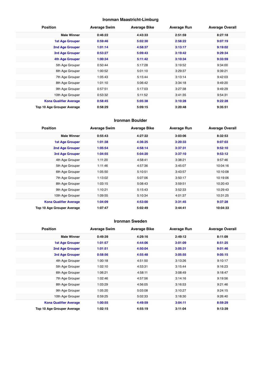#### **Ironman Maastricht-Limburg**

| <b>Position</b>               | <b>Average Swim</b> | <b>Average Bike</b> | <b>Average Run</b> | <b>Average Overall</b> |
|-------------------------------|---------------------|---------------------|--------------------|------------------------|
| <b>Male Winner</b>            | 0:46:22             | 4:43:33             | 2:51:59            | 8:27:18                |
| <b>1st Age Grouper</b>        | 0:59:46             | 5:02:30             | 2:58:22            | 9:07:19                |
| 2nd Age Grouper               | 1:01:14             | 4:58:37             | 3:13:17            | 9:19:02                |
| <b>3rd Age Grouper</b>        | 0:53:27             | 5:09:43             | 3:19:42            | 9:29:34                |
| 4th Age Grouper               | 1:00:34             | 5:11:42             | 3:10:34            | 9:33:59                |
| 5th Age Grouper               | 0:50:44             | 5:17:28             | 3:19:52            | 9:34:00                |
| 6th Age Grouper               | 1:00:52             | 5:01:10             | 3:29:37            | 9:39:21                |
| 7th Age Grouper               | 1:05:43             | 5:15:44             | 3:13:14            | 9:42:03                |
| 8th Age Grouper               | 1:01:10             | 5:06:42             | 3:34:18            | 9:49:20                |
| 9th Age Grouper               | 0:57:51             | 5:17:03             | 3:27:38            | 9:49:29                |
| 10th Age Grouper              | 0:53:32             | 5:11:52             | 3:41:35            | 9:54:31                |
| <b>Kona Qualifier Average</b> | 0:58:45             | 5:05:38             | 3:10:28            | 9:22:28                |
| Top 10 Age Grouper Average    | 0:58:29             | 5:09:15             | 3:20:48            | 9:35:51                |

#### **Ironman Boulder**

| <b>Position</b>               | <b>Average Swim</b> | <b>Average Bike</b> | <b>Average Run</b> | <b>Average Overall</b> |
|-------------------------------|---------------------|---------------------|--------------------|------------------------|
| <b>Male Winner</b>            | 0:55:43             | 4:27:22             | 3:03:06            | 8:32:53                |
| <b>1st Age Grouper</b>        | 1:01:38             | 4:36:25             | 3:20:33            | 9:07:03                |
| 2nd Age Grouper               | 1:05:54             | 4:58:14             | 3:37:31            | 9:52:10                |
| 3rd Age Grouper               | 1:04:55             | 5:04:20             | 3:37:10            | 9:53:12                |
| 4th Age Grouper               | 1:11:20             | 4:58:41             | 3:38:21            | 9:57:46                |
| 5th Age Grouper               | 1:11:46             | 4:57:36             | 3:45:07            | 10:04:16               |
| 6th Age Grouper               | 1:05:50             | 5:10:51             | 3:43:57            | 10:10:08               |
| 7th Age Grouper               | 1:13:02             | 5:07:06             | 3:50:17            | 10:19:06               |
| 8th Age Grouper               | 1:03:15             | 5:08:43             | 3:59:51            | 10:20:43               |
| 9th Age Grouper               | 1:10:21             | 5:15:43             | 3:52:33            | 10:29:43               |
| 10th Age Grouper              | 1:09:55             | 5:10:34             | 4:01:37            | 10:31:25               |
| <b>Kona Qualifier Average</b> | 1:04:09             | 4:53:00             | 3:31:45            | 9:37:28                |
| Top 10 Age Grouper Average    | 1:07:47             | 5:02:49             | 3:44:41            | 10:04:33               |

#### **Ironman Sweden**

| <b>Position</b>               | <b>Average Swim</b> | <b>Average Bike</b> | <b>Average Run</b> | <b>Average Overall</b> |
|-------------------------------|---------------------|---------------------|--------------------|------------------------|
| <b>Male Winner</b>            | 0:49:39             | 4:29:16             | 2:49:12            | 8:11:09                |
| 1st Age Grouper               | 1:01:57             | 4:44:06             | 3:01:09            | 8:51:25                |
| 2nd Age Grouper               | 1:01:51             | 4:50:04             | 3:05:31            | 9:01:46                |
| 3rd Age Grouper               | 0:58:56             | 4:55:48             | 3:05:55            | 9:05:15                |
| 4th Age Grouper               | 1:00:18             | 4:51:50             | 3:13:26            | 9:10:17                |
| 5th Age Grouper               | 1:02:10             | 4:53:31             | 3:15:44            | 9:16:23                |
| 6th Age Grouper               | 1:06:21             | 4:58:11             | 3:08:49            | 9:18:47                |
| 7th Age Grouper               | 1:02:46             | 4:57:56             | 3:14:16            | 9:19:56                |
| 8th Age Grouper               | 1:03:29             | 4:56:05             | 3:16:53            | 9:21:46                |
| 9th Age Grouper               | 1:05:20             | 5:03:08             | 3:10:27            | 9:24:15                |
| 10th Age Grouper              | 0:59:25             | 5:02:33             | 3:18:30            | 9:26:40                |
| <b>Kona Qualifier Average</b> | 1:00:55             | 4:49:59             | 3:04:11            | 8:59:29                |
| Top 10 Age Grouper Average    | 1:02:15             | 4:55:19             | 3:11:04            | 9:13:39                |